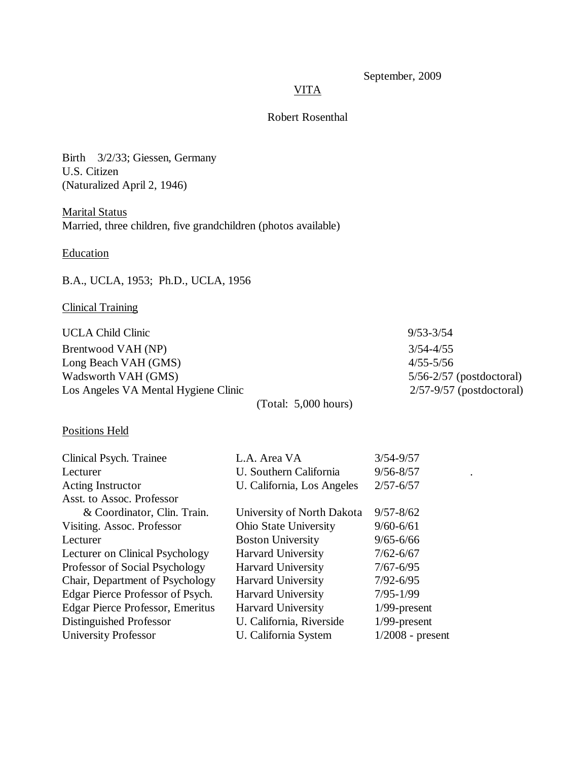# September, 2009

### **VITA**

## Robert Rosenthal

Birth 3/2/33; Giessen, Germany U.S. Citizen (Naturalized April 2, 1946)

Marital Status Married, three children, five grandchildren (photos available)

**Education** 

## B.A., UCLA, 1953; Ph.D., UCLA, 1956

# Clinical Training

| UCLA Child Clinic                    |                                      | $9/53 - 3/54$                |
|--------------------------------------|--------------------------------------|------------------------------|
| Brentwood VAH (NP)                   |                                      | $3/54 - 4/55$                |
| Long Beach VAH (GMS)                 |                                      | $4/55 - 5/56$                |
| Wadsworth VAH (GMS)                  |                                      | $5/56 - 2/57$ (postdoctoral) |
| Los Angeles VA Mental Hygiene Clinic |                                      | $2/57-9/57$ (postdoctoral)   |
|                                      | $\sqrt{1}$ $\sqrt{1}$ $\approx$ 0001 |                              |

(Total: 5,000 hours)

## Positions Held

| Clinical Psych. Trainee          | L.A. Area VA               | $3/54 - 9/57$      |  |
|----------------------------------|----------------------------|--------------------|--|
| Lecturer                         | U. Southern California     | $9/56 - 8/57$      |  |
| Acting Instructor                | U. California, Los Angeles | $2/57 - 6/57$      |  |
| Asst. to Assoc. Professor        |                            |                    |  |
| & Coordinator, Clin. Train.      | University of North Dakota | $9/57 - 8/62$      |  |
| Visiting. Assoc. Professor       | Ohio State University      | $9/60 - 6/61$      |  |
| Lecturer                         | <b>Boston University</b>   | $9/65 - 6/66$      |  |
| Lecturer on Clinical Psychology  | <b>Harvard University</b>  | $7/62 - 6/67$      |  |
| Professor of Social Psychology   | <b>Harvard University</b>  | $7/67 - 6/95$      |  |
| Chair, Department of Psychology  | <b>Harvard University</b>  | $7/92 - 6/95$      |  |
| Edgar Pierce Professor of Psych. | <b>Harvard University</b>  | $7/95 - 1/99$      |  |
| Edgar Pierce Professor, Emeritus | <b>Harvard University</b>  | $1/99$ -present    |  |
| Distinguished Professor          | U. California, Riverside   | $1/99$ -present    |  |
| <b>University Professor</b>      | U. California System       | $1/2008$ - present |  |
|                                  |                            |                    |  |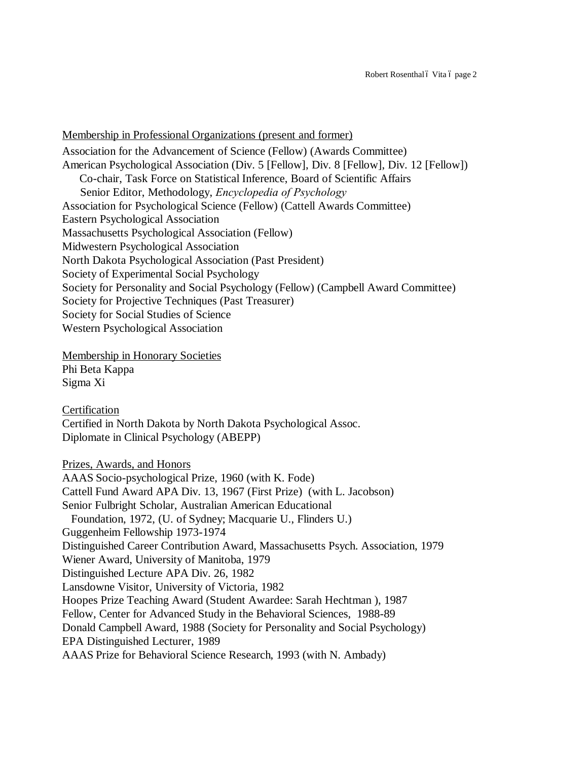#### Membership in Professional Organizations (present and former)

Association for the Advancement of Science (Fellow) (Awards Committee) American Psychological Association (Div. 5 [Fellow], Div. 8 [Fellow], Div. 12 [Fellow]) Co-chair, Task Force on Statistical Inference, Board of Scientific Affairs Senior Editor, Methodology, *Encyclopedia of Psychology* Association for Psychological Science (Fellow) (Cattell Awards Committee) Eastern Psychological Association Massachusetts Psychological Association (Fellow) Midwestern Psychological Association North Dakota Psychological Association (Past President) Society of Experimental Social Psychology Society for Personality and Social Psychology (Fellow) (Campbell Award Committee) Society for Projective Techniques (Past Treasurer) Society for Social Studies of Science Western Psychological Association

Membership in Honorary Societies Phi Beta Kappa Sigma Xi

Certification Certified in North Dakota by North Dakota Psychological Assoc. Diplomate in Clinical Psychology (ABEPP)

Prizes, Awards, and Honors AAAS Socio-psychological Prize, 1960 (with K. Fode) Cattell Fund Award APA Div. 13, 1967 (First Prize) (with L. Jacobson) Senior Fulbright Scholar, Australian American Educational Foundation, 1972, (U. of Sydney; Macquarie U., Flinders U.) Guggenheim Fellowship 1973-1974 Distinguished Career Contribution Award, Massachusetts Psych. Association, 1979 Wiener Award, University of Manitoba, 1979 Distinguished Lecture APA Div. 26, 1982 Lansdowne Visitor, University of Victoria, 1982 Hoopes Prize Teaching Award (Student Awardee: Sarah Hechtman ), 1987 Fellow, Center for Advanced Study in the Behavioral Sciences, 1988-89 Donald Campbell Award, 1988 (Society for Personality and Social Psychology) EPA Distinguished Lecturer, 1989 AAAS Prize for Behavioral Science Research, 1993 (with N. Ambady)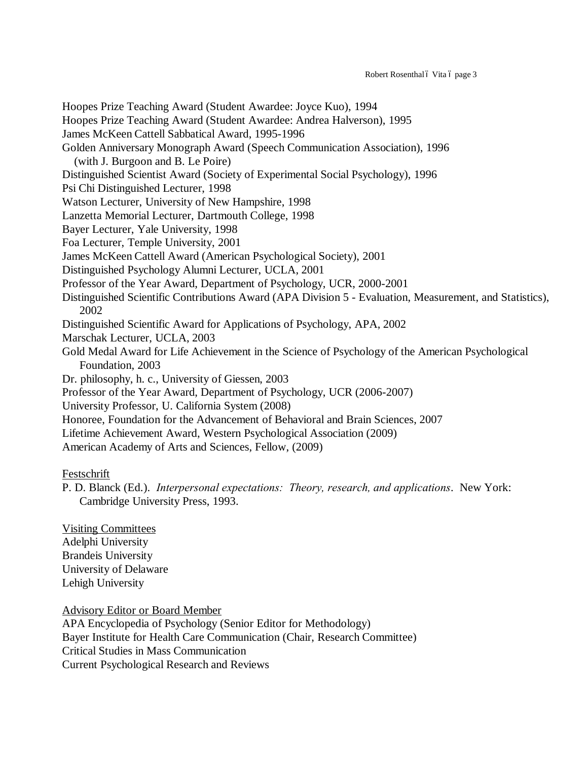Hoopes Prize Teaching Award (Student Awardee: Joyce Kuo), 1994 Hoopes Prize Teaching Award (Student Awardee: Andrea Halverson), 1995 James McKeen Cattell Sabbatical Award, 1995-1996 Golden Anniversary Monograph Award (Speech Communication Association), 1996 (with J. Burgoon and B. Le Poire) Distinguished Scientist Award (Society of Experimental Social Psychology), 1996 Psi Chi Distinguished Lecturer, 1998 Watson Lecturer, University of New Hampshire, 1998 Lanzetta Memorial Lecturer, Dartmouth College, 1998 Bayer Lecturer, Yale University, 1998 Foa Lecturer, Temple University, 2001 James McKeen Cattell Award (American Psychological Society), 2001 Distinguished Psychology Alumni Lecturer, UCLA, 2001 Professor of the Year Award, Department of Psychology, UCR, 2000-2001 Distinguished Scientific Contributions Award (APA Division 5 - Evaluation, Measurement, and Statistics), 2002 Distinguished Scientific Award for Applications of Psychology, APA, 2002 Marschak Lecturer, UCLA, 2003 Gold Medal Award for Life Achievement in the Science of Psychology of the American Psychological Foundation, 2003 Dr. philosophy, h. c., University of Giessen, 2003 Professor of the Year Award, Department of Psychology, UCR (2006-2007) University Professor, U. California System (2008) Honoree, Foundation for the Advancement of Behavioral and Brain Sciences, 2007 Lifetime Achievement Award, Western Psychological Association (2009) American Academy of Arts and Sciences, Fellow, (2009)

Festschrift

P. D. Blanck (Ed.). *Interpersonal expectations: Theory, research, and applications*. New York: Cambridge University Press, 1993.

Visiting Committees Adelphi University Brandeis University University of Delaware Lehigh University

Advisory Editor or Board Member

APA Encyclopedia of Psychology (Senior Editor for Methodology) Bayer Institute for Health Care Communication (Chair, Research Committee) Critical Studies in Mass Communication Current Psychological Research and Reviews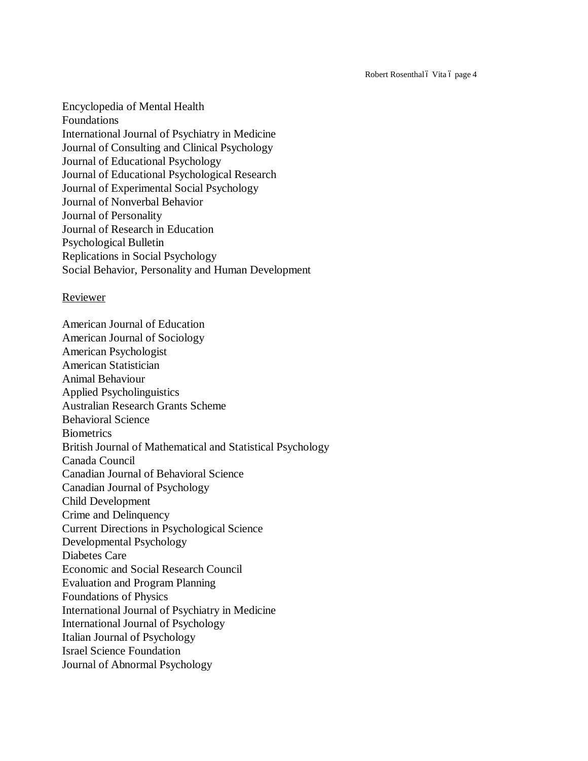Robert Rosenthal ó Vita ó page 4

Encyclopedia of Mental Health Foundations International Journal of Psychiatry in Medicine Journal of Consulting and Clinical Psychology Journal of Educational Psychology Journal of Educational Psychological Research Journal of Experimental Social Psychology Journal of Nonverbal Behavior Journal of Personality Journal of Research in Education Psychological Bulletin Replications in Social Psychology Social Behavior, Personality and Human Development

### Reviewer

American Journal of Education American Journal of Sociology American Psychologist American Statistician Animal Behaviour Applied Psycholinguistics Australian Research Grants Scheme Behavioral Science **Biometrics** British Journal of Mathematical and Statistical Psychology Canada Council Canadian Journal of Behavioral Science Canadian Journal of Psychology Child Development Crime and Delinquency Current Directions in Psychological Science Developmental Psychology Diabetes Care Economic and Social Research Council Evaluation and Program Planning Foundations of Physics International Journal of Psychiatry in Medicine International Journal of Psychology Italian Journal of Psychology Israel Science Foundation Journal of Abnormal Psychology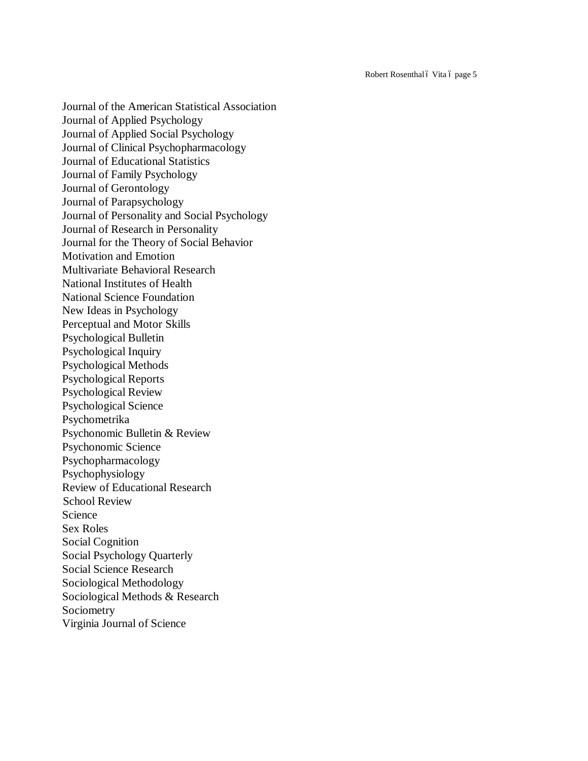Robert Rosenthal ó Vita ó page 5

Journal of the American Statistical Association Journal of Applied Psychology Journal of Applied Social Psychology Journal of Clinical Psychopharmacology Journal of Educational Statistics Journal of Family Psychology Journal of Gerontology Journal of Parapsychology Journal of Personality and Social Psychology Journal of Research in Personality Journal for the Theory of Social Behavior Motivation and Emotion Multivariate Behavioral Research National Institutes of Health National Science Foundation New Ideas in Psychology Perceptual and Motor Skills Psychological Bulletin Psychological Inquiry Psychological Methods Psychological Reports Psychological Review Psychological Science Psychometrika Psychonomic Bulletin & Review Psychonomic Science Psychopharmacology Psychophysiology Review of Educational Research School Review Science Sex Roles Social Cognition Social Psychology Quarterly Social Science Research Sociological Methodology Sociological Methods & Research Sociometry Virginia Journal of Science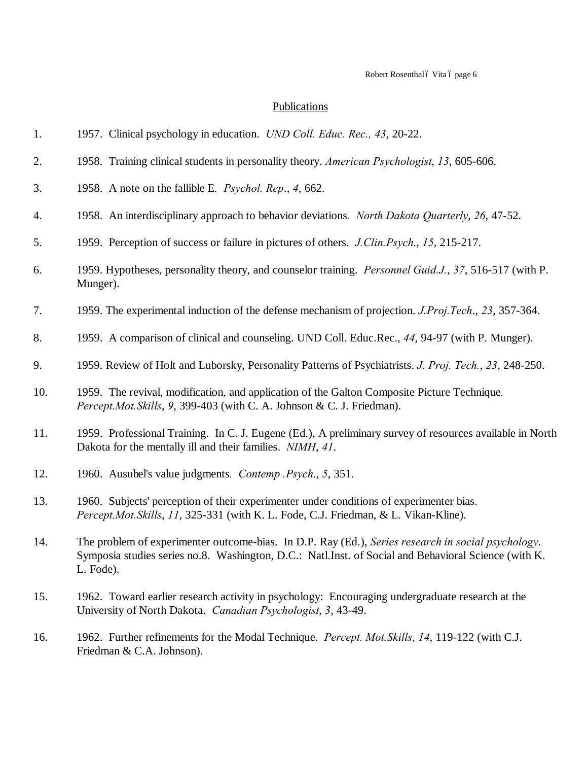# **Publications**

| 1.  | 1957. Clinical psychology in education. <i>UND Coll. Educ. Rec.</i> , 43, 20-22.                                                                                                                                        |
|-----|-------------------------------------------------------------------------------------------------------------------------------------------------------------------------------------------------------------------------|
| 2.  | 1958. Training clinical students in personality theory. American Psychologist, 13, 605-606.                                                                                                                             |
| 3.  | 1958. A note on the fallible E. Psychol. Rep., 4, 662.                                                                                                                                                                  |
| 4.  | 1958. An interdisciplinary approach to behavior deviations. North Dakota Quarterly, 26, 47-52.                                                                                                                          |
| 5.  | 1959. Perception of success or failure in pictures of others. J.Clin.Psych., 15, 215-217.                                                                                                                               |
| 6.  | 1959. Hypotheses, personality theory, and counselor training. Personnel Guid.J., 37, 516-517 (with P.<br>Munger).                                                                                                       |
| 7.  | 1959. The experimental induction of the defense mechanism of projection. <i>J.Proj.Tech.</i> , 23, 357-364.                                                                                                             |
| 8.  | 1959. A comparison of clinical and counseling. UND Coll. Educ.Rec., 44, 94-97 (with P. Munger).                                                                                                                         |
| 9.  | 1959. Review of Holt and Luborsky, Personality Patterns of Psychiatrists. J. Proj. Tech., 23, 248-250.                                                                                                                  |
| 10. | 1959. The revival, modification, and application of the Galton Composite Picture Technique.<br>Percept.Mot.Skills, 9, 399-403 (with C. A. Johnson & C. J. Friedman).                                                    |
| 11. | 1959. Professional Training. In C. J. Eugene (Ed.), A preliminary survey of resources available in North<br>Dakota for the mentally ill and their families. NIMH, 41.                                                   |
| 12. | 1960. Ausubel's value judgments. Contemp .Psych., 5, 351.                                                                                                                                                               |
| 13. | 1960. Subjects' perception of their experimenter under conditions of experimenter bias.<br>Percept.Mot.Skills, 11, 325-331 (with K. L. Fode, C.J. Friedman, & L. Vikan-Kline).                                          |
| 14. | The problem of experimenter outcome-bias. In D.P. Ray (Ed.), Series research in social psychology.<br>Symposia studies series no.8. Washington, D.C.: Natl.Inst. of Social and Behavioral Science (with K.<br>L. Fode). |
| 15. | 1962. Toward earlier research activity in psychology: Encouraging undergraduate research at the<br>University of North Dakota. Canadian Psychologist, 3, 43-49.                                                         |
| 16. | 1962. Further refinements for the Modal Technique. Percept. Mot. Skills, 14, 119-122 (with C.J.                                                                                                                         |

Friedman & C.A. Johnson).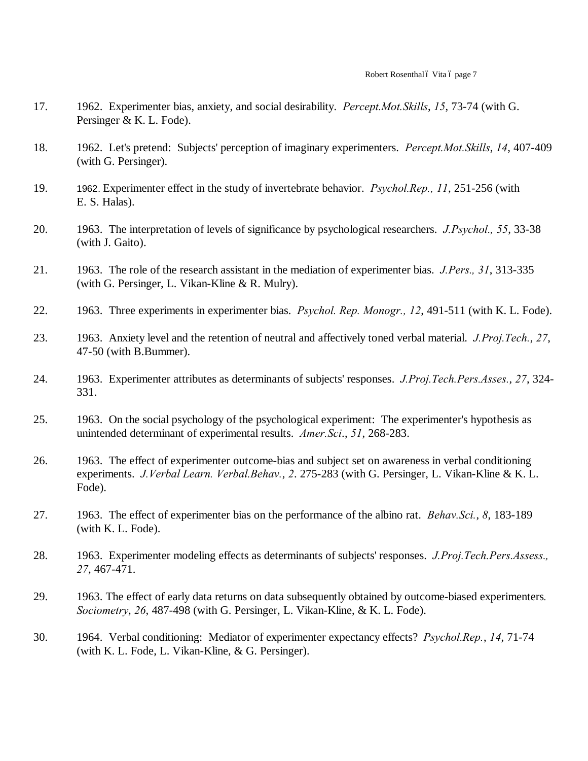- 17. 1962. Experimenter bias, anxiety, and social desirability. *Percept.Mot.Skills*, *15*, 73-74 (with G. Persinger & K. L. Fode).
- 18. 1962. Let's pretend: Subjects' perception of imaginary experimenters. *Percept.Mot.Skills*, *14*, 407-409 (with G. Persinger).
- 19. 1962. Experimenter effect in the study of invertebrate behavior. *Psychol.Rep., 11*, 251-256 (with E. S. Halas).
- 20. 1963. The interpretation of levels of significance by psychological researchers. *J.Psychol., 55*, 33-38 (with J. Gaito).
- 21. 1963. The role of the research assistant in the mediation of experimenter bias. *J.Pers., 31*, 313-335 (with G. Persinger, L. Vikan-Kline & R. Mulry).
- 22. 1963. Three experiments in experimenter bias. *Psychol. Rep. Monogr., 12*, 491-511 (with K. L. Fode).
- 23. 1963. Anxiety level and the retention of neutral and affectively toned verbal material. *J.Proj.Tech.*, *27*, 47-50 (with B.Bummer).
- 24. 1963. Experimenter attributes as determinants of subjects' responses. *J.Proj.Tech.Pers.Asses.*, *27*, 324- 331.
- 25. 1963. On the social psychology of the psychological experiment: The experimenter's hypothesis as unintended determinant of experimental results. *Amer.Sci*., *51*, 268-283.
- 26. 1963. The effect of experimenter outcome-bias and subject set on awareness in verbal conditioning experiments. *J.Verbal Learn. Verbal.Behav.*, *2*. 275-283 (with G. Persinger, L. Vikan-Kline & K. L. Fode).
- 27. 1963. The effect of experimenter bias on the performance of the albino rat. *Behav.Sci.*, *8*, 183-189 (with K. L. Fode).
- 28. 1963. Experimenter modeling effects as determinants of subjects' responses. *J.Proj.Tech.Pers.Assess., 27*, 467-471.
- 29. 1963. The effect of early data returns on data subsequently obtained by outcome-biased experimenters*. Sociometry*, *26*, 487-498 (with G. Persinger, L. Vikan-Kline, & K. L. Fode).
- 30. 1964. Verbal conditioning: Mediator of experimenter expectancy effects? *Psychol.Rep.*, *14*, 71-74 (with K. L. Fode, L. Vikan-Kline, & G. Persinger).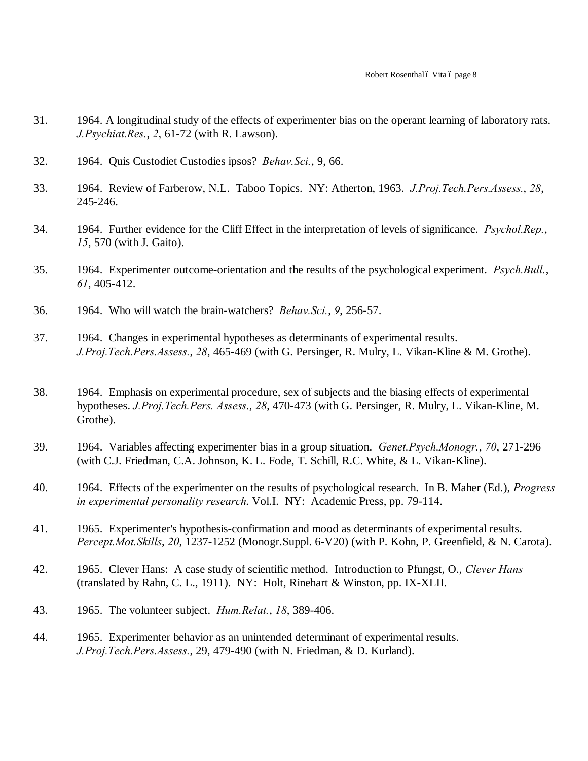- 31. 1964. A longitudinal study of the effects of experimenter bias on the operant learning of laboratory rats. *J.Psychiat.Res.*, *2*, 61-72 (with R. Lawson).
- 32. 1964. Quis Custodiet Custodies ipsos? *Behav.Sci.*, 9, 66.
- 33. 1964. Review of Farberow, N.L. Taboo Topics. NY: Atherton, 1963. *J.Proj.Tech.Pers.Assess.*, *28*, 245-246.
- 34. 1964. Further evidence for the Cliff Effect in the interpretation of levels of significance. *Psychol.Rep.*, *15*, 570 (with J. Gaito).
- 35. 1964. Experimenter outcome-orientation and the results of the psychological experiment. *Psych.Bull.*, *61*, 405-412.
- 36. 1964. Who will watch the brain-watchers? *Behav.Sci.*, *9*, 256-57.
- 37. 1964. Changes in experimental hypotheses as determinants of experimental results. *J.Proj.Tech.Pers.Assess.*, *28*, 465-469 (with G. Persinger, R. Mulry, L. Vikan-Kline & M. Grothe).
- 38. 1964. Emphasis on experimental procedure, sex of subjects and the biasing effects of experimental hypotheses. *J.Proj.Tech.Pers. Assess*., *28*, 470-473 (with G. Persinger, R. Mulry, L. Vikan-Kline, M. Grothe).
- 39. 1964. Variables affecting experimenter bias in a group situation. *Genet.Psych.Monogr.*, *70*, 271-296 (with C.J. Friedman, C.A. Johnson, K. L. Fode, T. Schill, R.C. White, & L. Vikan-Kline).
- 40. 1964. Effects of the experimenter on the results of psychological research. In B. Maher (Ed.), *Progress in experimental personality research*. Vol.I. NY: Academic Press, pp. 79-114.
- 41. 1965. Experimenter's hypothesis-confirmation and mood as determinants of experimental results. *Percept.Mot.Skills*, *20*, 1237-1252 (Monogr.Suppl. 6-V20) (with P. Kohn, P. Greenfield, & N. Carota).
- 42. 1965. Clever Hans: A case study of scientific method. Introduction to Pfungst, O., *Clever Hans* (translated by Rahn, C. L., 1911). NY: Holt, Rinehart & Winston, pp. IX-XLII.
- 43. 1965. The volunteer subject. *Hum.Relat.*, *18*, 389-406.
- 44. 1965. Experimenter behavior as an unintended determinant of experimental results. *J.Proj.Tech.Pers.Assess.*, 29, 479-490 (with N. Friedman, & D. Kurland).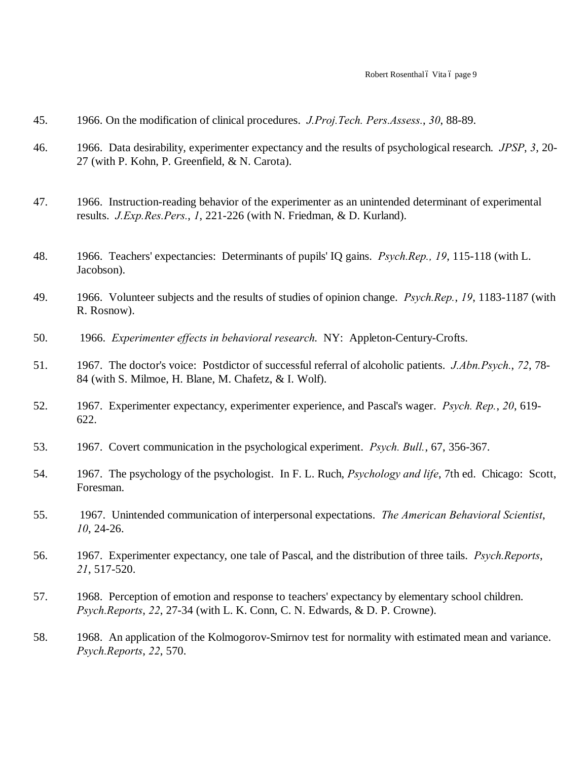- 45. 1966. On the modification of clinical procedures. *J.Proj.Tech. Pers.Assess.*, *30*, 88-89.
- 46. 1966. Data desirability, experimenter expectancy and the results of psychological research. *JPSP*, *3*, 20- 27 (with P. Kohn, P. Greenfield, & N. Carota).
- 47. 1966. Instruction-reading behavior of the experimenter as an unintended determinant of experimental results. *J.Exp.Res.Pers.*, *1*, 221-226 (with N. Friedman, & D. Kurland).
- 48. 1966. Teachers' expectancies: Determinants of pupils' IQ gains. *Psych.Rep., 19*, 115-118 (with L. Jacobson).
- 49. 1966. Volunteer subjects and the results of studies of opinion change. *Psych.Rep.*, *19*, 1183-1187 (with R. Rosnow).
- 50. 1966. *Experimenter effects in behavioral research*. NY: Appleton-Century-Crofts.
- 51. 1967. The doctor's voice: Postdictor of successful referral of alcoholic patients. *J.Abn.Psych.*, *72*, 78- 84 (with S. Milmoe, H. Blane, M. Chafetz, & I. Wolf).
- 52. 1967. Experimenter expectancy, experimenter experience, and Pascal's wager. *Psych. Rep.*, *20*, 619- 622.
- 53. 1967. Covert communication in the psychological experiment. *Psych. Bull.*, 67, 356-367.
- 54. 1967. The psychology of the psychologist. In F. L. Ruch, *Psychology and life*, 7th ed. Chicago: Scott, Foresman.
- 55. 1967. Unintended communication of interpersonal expectations. *The American Behavioral Scientist*, *10*, 24-26.
- 56. 1967. Experimenter expectancy, one tale of Pascal, and the distribution of three tails. *Psych.Reports*, *21*, 517-520.
- 57. 1968. Perception of emotion and response to teachers' expectancy by elementary school children. *Psych.Reports*, *22*, 27-34 (with L. K. Conn, C. N. Edwards, & D. P. Crowne).
- 58. 1968. An application of the Kolmogorov-Smirnov test for normality with estimated mean and variance. *Psych.Reports*, *22*, 570.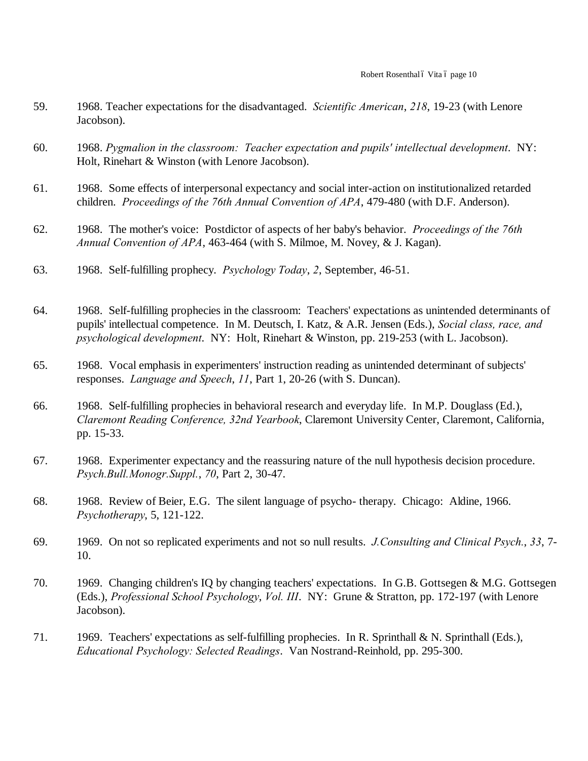- 59. 1968. Teacher expectations for the disadvantaged. *Scientific American*, *218*, 19-23 (with Lenore Jacobson).
- 60. 1968. *Pygmalion in the classroom: Teacher expectation and pupils' intellectual development*. NY: Holt, Rinehart & Winston (with Lenore Jacobson).
- 61. 1968. Some effects of interpersonal expectancy and social inter-action on institutionalized retarded children. *Proceedings of the 76th Annual Convention of APA*, 479-480 (with D.F. Anderson).
- 62. 1968. The mother's voice: Postdictor of aspects of her baby's behavior. *Proceedings of the 76th Annual Convention of APA*, 463-464 (with S. Milmoe, M. Novey, & J. Kagan).
- 63. 1968. Self-fulfilling prophecy. *Psychology Today*, *2*, September, 46-51.
- 64. 1968. Self-fulfilling prophecies in the classroom: Teachers' expectations as unintended determinants of pupils' intellectual competence. In M. Deutsch, I. Katz, & A.R. Jensen (Eds.), *Social class, race, and psychological development*. NY: Holt, Rinehart & Winston, pp. 219-253 (with L. Jacobson).
- 65. 1968. Vocal emphasis in experimenters' instruction reading as unintended determinant of subjects' responses. *Language and Speech*, *11*, Part 1, 20-26 (with S. Duncan).
- 66. 1968. Self-fulfilling prophecies in behavioral research and everyday life. In M.P. Douglass (Ed.), *Claremont Reading Conference, 32nd Yearbook*, Claremont University Center, Claremont, California, pp. 15-33.
- 67. 1968. Experimenter expectancy and the reassuring nature of the null hypothesis decision procedure. *Psych.Bull.Monogr.Suppl.*, *70*, Part 2, 30-47.
- 68. 1968. Review of Beier, E.G. The silent language of psycho- therapy. Chicago: Aldine, 1966. *Psychotherapy*, 5, 121-122.
- 69. 1969. On not so replicated experiments and not so null results. *J.Consulting and Clinical Psych.*, *33*, 7- 10.
- 70. 1969. Changing children's IQ by changing teachers' expectations. In G.B. Gottsegen & M.G. Gottsegen (Eds.), *Professional School Psychology*, *Vol. III*. NY: Grune & Stratton, pp. 172-197 (with Lenore Jacobson).
- 71. 1969. Teachers' expectations as self-fulfilling prophecies. In R. Sprinthall & N. Sprinthall (Eds.), *Educational Psychology: Selected Readings*. Van Nostrand-Reinhold, pp. 295-300.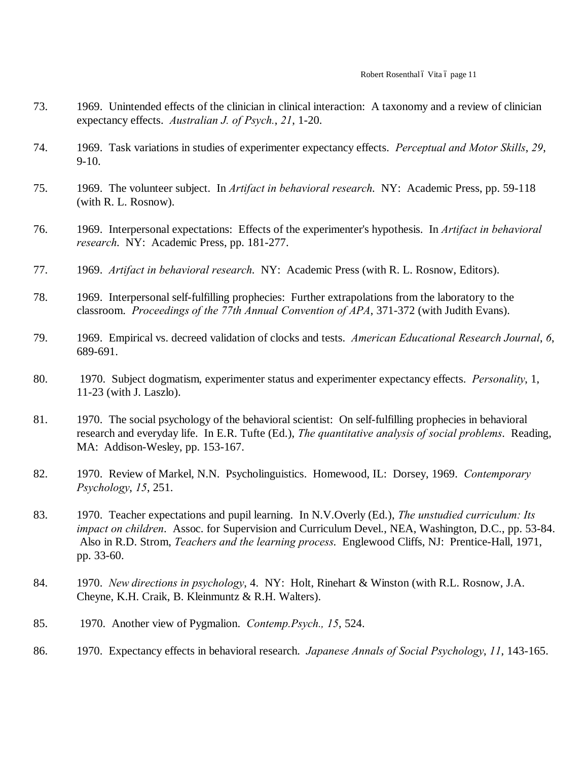- 73. 1969. Unintended effects of the clinician in clinical interaction: A taxonomy and a review of clinician expectancy effects. *Australian J. of Psych.*, *21*, 1-20.
- 74. 1969. Task variations in studies of experimenter expectancy effects. *Perceptual and Motor Skills*, *29*, 9-10.
- 75. 1969. The volunteer subject. In *Artifact in behavioral research*. NY: Academic Press, pp. 59-118 (with R. L. Rosnow).
- 76. 1969. Interpersonal expectations: Effects of the experimenter's hypothesis. In *Artifact in behavioral research*. NY: Academic Press, pp. 181-277.
- 77. 1969. *Artifact in behavioral research*. NY: Academic Press (with R. L. Rosnow, Editors).
- 78. 1969. Interpersonal self-fulfilling prophecies: Further extrapolations from the laboratory to the classroom. *Proceedings of the 77th Annual Convention of APA*, 371-372 (with Judith Evans).
- 79. 1969. Empirical vs. decreed validation of clocks and tests. *American Educational Research Journal*, *6*, 689-691.
- 80. 1970. Subject dogmatism, experimenter status and experimenter expectancy effects. *Personality*, 1, 11-23 (with J. Laszlo).
- 81. 1970. The social psychology of the behavioral scientist: On self-fulfilling prophecies in behavioral research and everyday life. In E.R. Tufte (Ed.), *The quantitative analysis of social problems*. Reading, MA: Addison-Wesley, pp. 153-167.
- 82. 1970. Review of Markel, N.N. Psycholinguistics. Homewood, IL: Dorsey, 1969. *Contemporary Psychology*, *15*, 251.
- 83. 1970. Teacher expectations and pupil learning. In N.V.Overly (Ed.), *The unstudied curriculum: Its impact on children*. Assoc. for Supervision and Curriculum Devel., NEA, Washington, D.C., pp. 53-84. Also in R.D. Strom, *Teachers and the learning process*. Englewood Cliffs, NJ: Prentice-Hall, 1971, pp. 33-60.
- 84. 1970. *New directions in psychology*, 4. NY: Holt, Rinehart & Winston (with R.L. Rosnow, J.A. Cheyne, K.H. Craik, B. Kleinmuntz & R.H. Walters).
- 85. 1970. Another view of Pygmalion. *Contemp.Psych., 15*, 524.
- 86. 1970. Expectancy effects in behavioral research. *Japanese Annals of Social Psychology*, *11*, 143-165.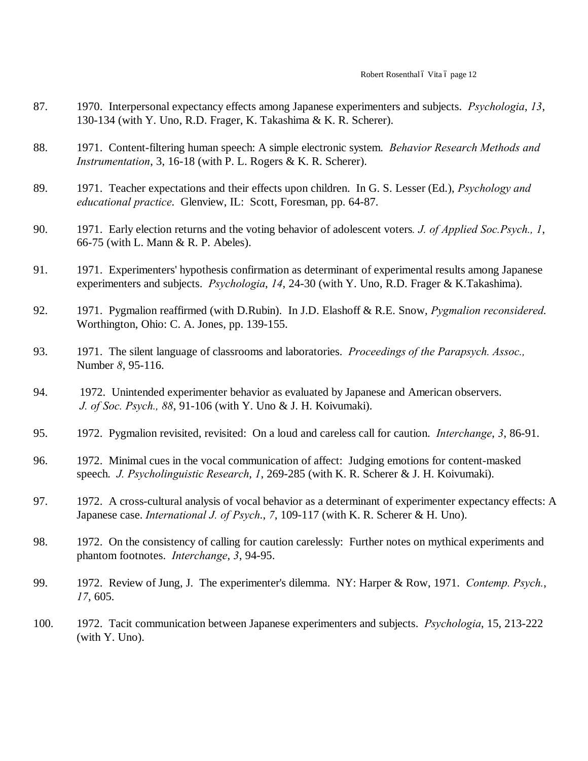- 87. 1970. Interpersonal expectancy effects among Japanese experimenters and subjects. *Psychologia*, *13*, 130-134 (with Y. Uno, R.D. Frager, K. Takashima & K. R. Scherer).
- 88. 1971. Content-filtering human speech: A simple electronic system. *Behavior Research Methods and Instrumentation*, 3, 16-18 (with P. L. Rogers & K. R. Scherer).
- 89. 1971. Teacher expectations and their effects upon children. In G. S. Lesser (Ed.), *Psychology and educational practice*. Glenview, IL: Scott, Foresman, pp. 64-87.
- 90. 1971. Early election returns and the voting behavior of adolescent voters*. J. of Applied Soc.Psych., 1*, 66-75 (with L. Mann & R. P. Abeles).
- 91. 1971. Experimenters' hypothesis confirmation as determinant of experimental results among Japanese experimenters and subjects. *Psychologia*, *14*, 24-30 (with Y. Uno, R.D. Frager & K.Takashima).
- 92. 1971. Pygmalion reaffirmed (with D.Rubin). In J.D. Elashoff & R.E. Snow, *Pygmalion reconsidered*. Worthington, Ohio: C. A. Jones, pp. 139-155.
- 93. 1971. The silent language of classrooms and laboratories. *Proceedings of the Parapsych. Assoc.,* Number *8*, 95-116.
- 94. 1972. Unintended experimenter behavior as evaluated by Japanese and American observers. *J. of Soc. Psych., 88*, 91-106 (with Y. Uno & J. H. Koivumaki).
- 95. 1972. Pygmalion revisited, revisited: On a loud and careless call for caution. *Interchange*, *3*, 86-91.
- 96. 1972. Minimal cues in the vocal communication of affect: Judging emotions for content-masked speech. *J. Psycholinguistic Research*, *1*, 269-285 (with K. R. Scherer & J. H. Koivumaki).
- 97. 1972. A cross-cultural analysis of vocal behavior as a determinant of experimenter expectancy effects: A Japanese case. *International J. of Psych*., *7*, 109-117 (with K. R. Scherer & H. Uno).
- 98. 1972. On the consistency of calling for caution carelessly: Further notes on mythical experiments and phantom footnotes. *Interchange*, *3*, 94-95.
- 99. 1972. Review of Jung, J. The experimenter's dilemma. NY: Harper & Row, 1971. *Contemp. Psych.*, *17*, 605.
- 100. 1972. Tacit communication between Japanese experimenters and subjects. *Psychologia*, 15, 213-222 (with Y. Uno).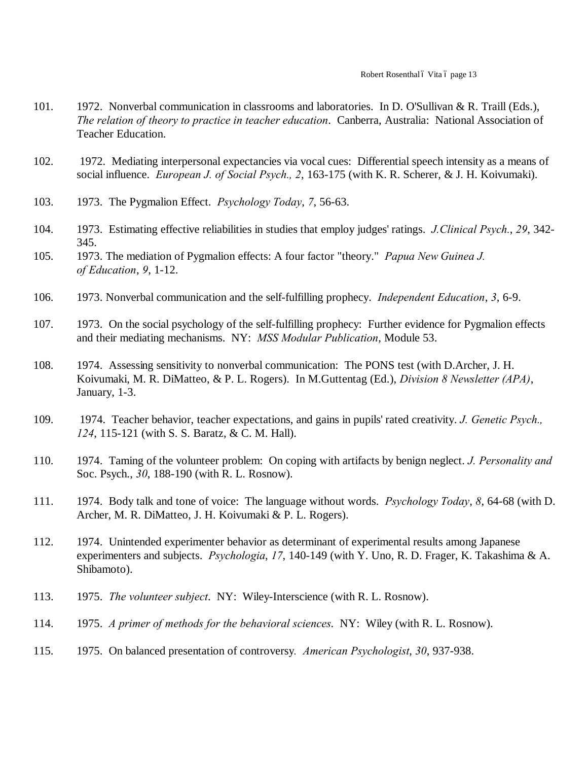- 101. 1972. Nonverbal communication in classrooms and laboratories. In D. O'Sullivan & R. Traill (Eds.), *The relation of theory to practice in teacher education*. Canberra, Australia: National Association of Teacher Education.
- 102. 1972. Mediating interpersonal expectancies via vocal cues: Differential speech intensity as a means of social influence. *European J. of Social Psych., 2*, 163-175 (with K. R. Scherer, & J. H. Koivumaki).
- 103. 1973. The Pygmalion Effect. *Psychology Today*, *7*, 56-63.
- 104. 1973. Estimating effective reliabilities in studies that employ judges' ratings. *J.Clinical Psych.*, *29*, 342- 345.
- 105. 1973. The mediation of Pygmalion effects: A four factor "theory." *Papua New Guinea J. of Education*, *9*, 1-12.
- 106. 1973. Nonverbal communication and the self-fulfilling prophecy. *Independent Education*, *3*, 6-9.
- 107. 1973. On the social psychology of the self-fulfilling prophecy: Further evidence for Pygmalion effects and their mediating mechanisms. NY: *MSS Modular Publication*, Module 53.
- 108. 1974. Assessing sensitivity to nonverbal communication: The PONS test (with D.Archer, J. H. Koivumaki, M. R. DiMatteo, & P. L. Rogers). In M.Guttentag (Ed.), *Division 8 Newsletter (APA)*, January, 1-3.
- 109. 1974. Teacher behavior, teacher expectations, and gains in pupils' rated creativity. *J. Genetic Psych., 124*, 115-121 (with S. S. Baratz, & C. M. Hall).
- 110. 1974. Taming of the volunteer problem: On coping with artifacts by benign neglect. *J. Personality and* Soc. Psych., *30*, 188-190 (with R. L. Rosnow).
- 111. 1974. Body talk and tone of voice: The language without words. *Psychology Today*, *8*, 64-68 (with D. Archer, M. R. DiMatteo, J. H. Koivumaki & P. L. Rogers).
- 112. 1974. Unintended experimenter behavior as determinant of experimental results among Japanese experimenters and subjects. *Psychologia*, *17*, 140-149 (with Y. Uno, R. D. Frager, K. Takashima & A. Shibamoto).
- 113. 1975. *The volunteer subject*. NY: Wiley-Interscience (with R. L. Rosnow).
- 114. 1975. *A primer of methods for the behavioral sciences*. NY: Wiley (with R. L. Rosnow).
- 115. 1975. On balanced presentation of controversy*. American Psychologist*, *30*, 937-938.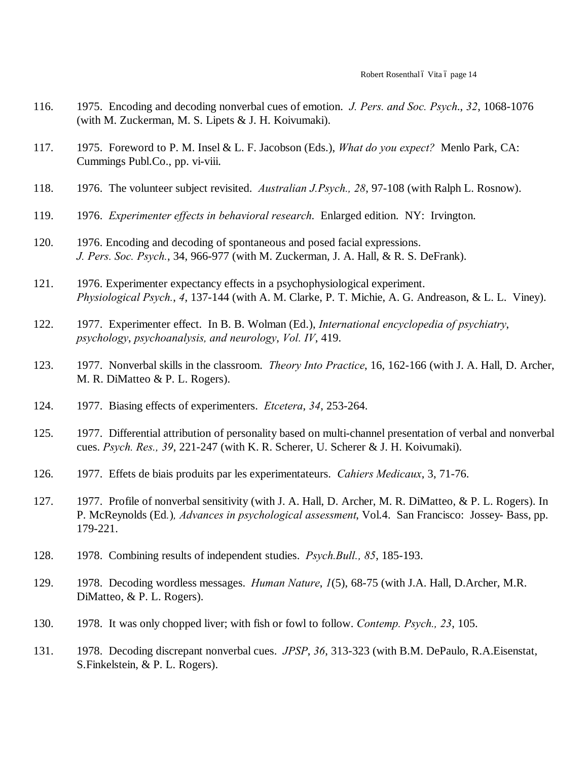- 116. 1975. Encoding and decoding nonverbal cues of emotion. *J. Pers. and Soc. Psych*., *32*, 1068-1076 (with M. Zuckerman, M. S. Lipets & J. H. Koivumaki).
- 117. 1975. Foreword to P. M. Insel & L. F. Jacobson (Eds.), *What do you expect?* Menlo Park, CA: Cummings Publ.Co., pp. vi-viii.
- 118. 1976. The volunteer subject revisited. *Australian J.Psych., 28*, 97-108 (with Ralph L. Rosnow).
- 119. 1976. *Experimenter effects in behavioral research*. Enlarged edition. NY: Irvington.
- 120. 1976. Encoding and decoding of spontaneous and posed facial expressions. *J. Pers. Soc. Psych.*, 34, 966-977 (with M. Zuckerman, J. A. Hall, & R. S. DeFrank).
- 121. 1976. Experimenter expectancy effects in a psychophysiological experiment. *Physiological Psych.*, *4*, 137-144 (with A. M. Clarke, P. T. Michie, A. G. Andreason, & L. L. Viney).
- 122. 1977. Experimenter effect. In B. B. Wolman (Ed.), *International encyclopedia of psychiatry*, *psychology*, *psychoanalysis, and neurology*, *Vol. IV*, 419.
- 123. 1977. Nonverbal skills in the classroom. *Theory Into Practice*, 16, 162-166 (with J. A. Hall, D. Archer, M. R. DiMatteo & P. L. Rogers).
- 124. 1977. Biasing effects of experimenters. *Etcetera*, *34*, 253-264.
- 125. 1977. Differential attribution of personality based on multi-channel presentation of verbal and nonverbal cues. *Psych. Res., 39*, 221-247 (with K. R. Scherer, U. Scherer & J. H. Koivumaki).
- 126. 1977. Effets de biais produits par les experimentateurs. *Cahiers Medicaux*, 3, 71-76.
- 127. 1977. Profile of nonverbal sensitivity (with J. A. Hall, D. Archer, M. R. DiMatteo, & P. L. Rogers). In P. McReynolds (Ed*.*)*, Advances in psychological assessment*, Vol.4. San Francisco: Jossey- Bass, pp. 179-221.
- 128. 1978. Combining results of independent studies. *Psych.Bull., 85*, 185-193.
- 129. 1978. Decoding wordless messages. *Human Nature*, *1*(5), 68-75 (with J.A. Hall, D.Archer, M.R. DiMatteo, & P. L. Rogers).
- 130. 1978. It was only chopped liver; with fish or fowl to follow. *Contemp. Psych., 23*, 105.
- 131. 1978. Decoding discrepant nonverbal cues. *JPSP*, *36*, 313-323 (with B.M. DePaulo, R.A.Eisenstat, S.Finkelstein, & P. L. Rogers).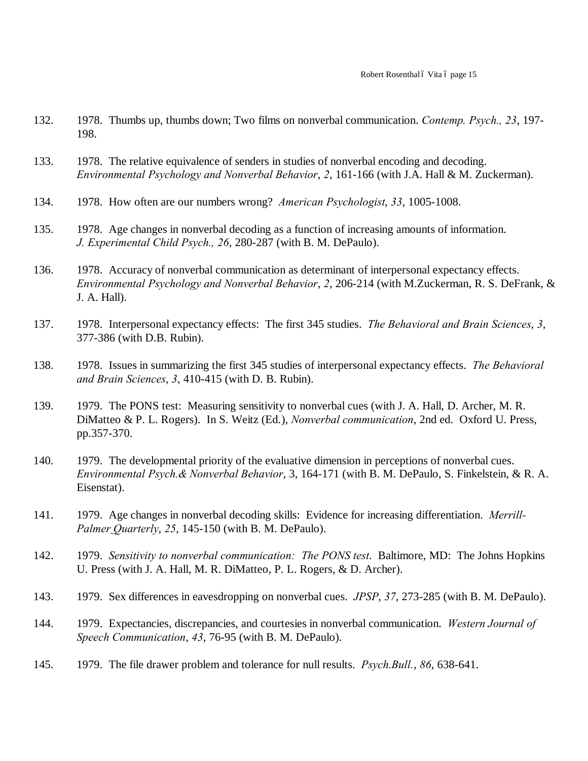- 132. 1978. Thumbs up, thumbs down; Two films on nonverbal communication. *Contemp. Psych., 23*, 197- 198.
- 133. 1978. The relative equivalence of senders in studies of nonverbal encoding and decoding. *Environmental Psychology and Nonverbal Behavior*, *2*, 161-166 (with J.A. Hall & M. Zuckerman).
- 134. 1978. How often are our numbers wrong? *American Psychologist*, *33*, 1005-1008.
- 135. 1978. Age changes in nonverbal decoding as a function of increasing amounts of information. *J. Experimental Child Psych., 26*, 280-287 (with B. M. DePaulo).
- 136. 1978. Accuracy of nonverbal communication as determinant of interpersonal expectancy effects. *Environmental Psychology and Nonverbal Behavior*, *2*, 206-214 (with M.Zuckerman, R. S. DeFrank, & J. A. Hall).
- 137. 1978. Interpersonal expectancy effects: The first 345 studies. *The Behavioral and Brain Sciences*, *3*, 377-386 (with D.B. Rubin).
- 138. 1978. Issues in summarizing the first 345 studies of interpersonal expectancy effects. *The Behavioral and Brain Sciences*, *3*, 410-415 (with D. B. Rubin).
- 139. 1979. The PONS test: Measuring sensitivity to nonverbal cues (with J. A. Hall, D. Archer, M. R. DiMatteo & P. L. Rogers). In S. Weitz (Ed.), *Nonverbal communication*, 2nd ed. Oxford U. Press, pp.357-370.
- 140. 1979. The developmental priority of the evaluative dimension in perceptions of nonverbal cues. *Environmental Psych.& Nonverbal Behavior*, 3, 164-171 (with B. M. DePaulo, S. Finkelstein, & R. A. Eisenstat).
- 141. 1979. Age changes in nonverbal decoding skills: Evidence for increasing differentiation. *Merrill-Palmer Quarterly*, *25*, 145-150 (with B. M. DePaulo).
- 142. 1979. *Sensitivity to nonverbal communication: The PONS test*. Baltimore, MD: The Johns Hopkins U. Press (with J. A. Hall, M. R. DiMatteo, P. L. Rogers, & D. Archer).
- 143. 1979. Sex differences in eavesdropping on nonverbal cues. *JPSP*, *37*, 273-285 (with B. M. DePaulo).
- 144. 1979. Expectancies, discrepancies, and courtesies in nonverbal communication. *Western Journal of Speech Communication*, *43*, 76-95 (with B. M. DePaulo).
- 145. 1979. The file drawer problem and tolerance for null results. *Psych.Bull.*, *86*, 638-641.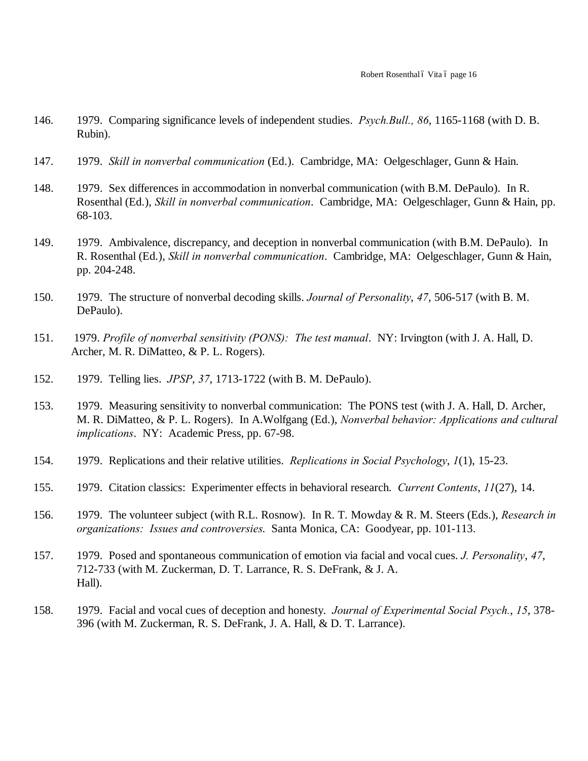- 146. 1979. Comparing significance levels of independent studies. *Psych.Bull., 86*, 1165-1168 (with D. B. Rubin).
- 147. 1979. *Skill in nonverbal communication* (Ed.). Cambridge, MA: Oelgeschlager, Gunn & Hain.
- 148. 1979. Sex differences in accommodation in nonverbal communication (with B.M. DePaulo). In R. Rosenthal (Ed.), *Skill in nonverbal communication*. Cambridge, MA: Oelgeschlager, Gunn & Hain, pp. 68-103.
- 149. 1979. Ambivalence, discrepancy, and deception in nonverbal communication (with B.M. DePaulo). In R. Rosenthal (Ed.), *Skill in nonverbal communication*. Cambridge, MA: Oelgeschlager, Gunn & Hain, pp. 204-248.
- 150. 1979. The structure of nonverbal decoding skills. *Journal of Personality*, *47*, 506-517 (with B. M. DePaulo).
- 151. 1979. *Profile of nonverbal sensitivity (PONS): The test manual*. NY: Irvington (with J. A. Hall, D. Archer, M. R. DiMatteo, & P. L. Rogers).
- 152. 1979. Telling lies. *JPSP*, *37*, 1713-1722 (with B. M. DePaulo).
- 153. 1979. Measuring sensitivity to nonverbal communication: The PONS test (with J. A. Hall, D. Archer, M. R. DiMatteo, & P. L. Rogers). In A.Wolfgang (Ed.), *Nonverbal behavior: Applications and cultural implications*. NY: Academic Press, pp. 67-98.
- 154. 1979. Replications and their relative utilities. *Replications in Social Psychology*, *1*(1), 15-23.
- 155. 1979. Citation classics: Experimenter effects in behavioral research. *Current Contents*, *11*(27), 14.
- 156. 1979. The volunteer subject (with R.L. Rosnow). In R. T. Mowday & R. M. Steers (Eds.), *Research in organizations: Issues and controversies*. Santa Monica, CA: Goodyear, pp. 101-113.
- 157. 1979. Posed and spontaneous communication of emotion via facial and vocal cues. *J. Personality*, *47*, 712-733 (with M. Zuckerman, D. T. Larrance, R. S. DeFrank, & J. A. Hall).
- 158. 1979. Facial and vocal cues of deception and honesty. *Journal of Experimental Social Psych.*, *15*, 378- 396 (with M. Zuckerman, R. S. DeFrank, J. A. Hall, & D. T. Larrance).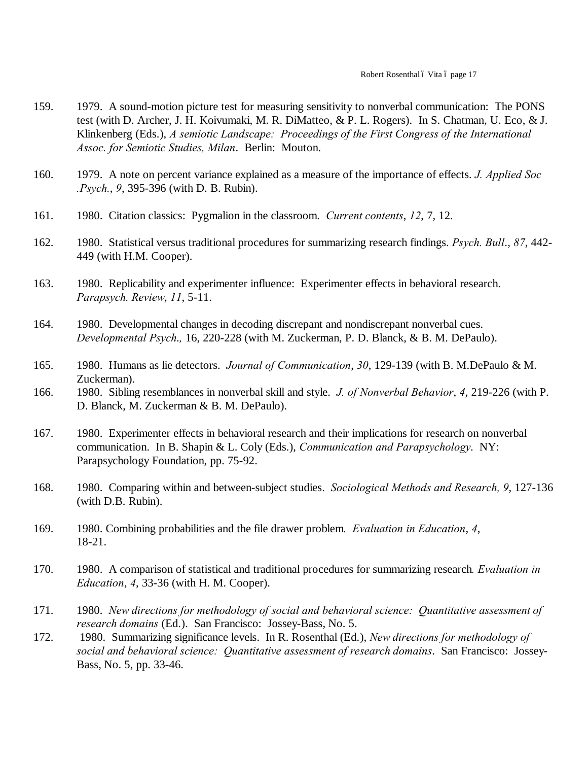- 159. 1979. A sound-motion picture test for measuring sensitivity to nonverbal communication: The PONS test (with D. Archer, J. H. Koivumaki, M. R. DiMatteo, & P. L. Rogers). In S. Chatman, U. Eco, & J. Klinkenberg (Eds.), *A semiotic Landscape: Proceedings of the First Congress of the International Assoc. for Semiotic Studies, Milan*. Berlin: Mouton.
- 160. 1979. A note on percent variance explained as a measure of the importance of effects. *J. Applied Soc .Psych.*, *9*, 395-396 (with D. B. Rubin).
- 161. 1980. Citation classics: Pygmalion in the classroom. *Current contents*, *12*, 7, 12.
- 162. 1980. Statistical versus traditional procedures for summarizing research findings. *Psych. Bull*., *87*, 442- 449 (with H.M. Cooper).
- 163. 1980. Replicability and experimenter influence: Experimenter effects in behavioral research. *Parapsych. Review*, *11*, 5-11.
- 164. 1980. Developmental changes in decoding discrepant and nondiscrepant nonverbal cues. *Developmental Psych*.*,* 16, 220-228 (with M. Zuckerman, P. D. Blanck, & B. M. DePaulo).
- 165. 1980. Humans as lie detectors. *Journal of Communication*, *30*, 129-139 (with B. M.DePaulo & M. Zuckerman).
- 166. 1980. Sibling resemblances in nonverbal skill and style. *J. of Nonverbal Behavior*, *4*, 219-226 (with P. D. Blanck, M. Zuckerman & B. M. DePaulo).
- 167. 1980. Experimenter effects in behavioral research and their implications for research on nonverbal communication. In B. Shapin & L. Coly (Eds.), *Communication and Parapsychology*. NY: Parapsychology Foundation, pp. 75-92.
- 168. 1980. Comparing within and between-subject studies. *Sociological Methods and Research, 9*, 127-136 (with D.B. Rubin).
- 169. 1980. Combining probabilities and the file drawer problem*. Evaluation in Education*, *4*, 18-21.
- 170. 1980. A comparison of statistical and traditional procedures for summarizing research*. Evaluation in Education*, *4*, 33-36 (with H. M. Cooper).
- 171. 1980. *New directions for methodology of social and behavioral science: Quantitative assessment of research domains* (Ed.). San Francisco: Jossey-Bass, No. 5.
- 172. 1980. Summarizing significance levels. In R. Rosenthal (Ed.), *New directions for methodology of social and behavioral science: Quantitative assessment of research domains*. San Francisco: Jossey-Bass, No. 5, pp. 33-46.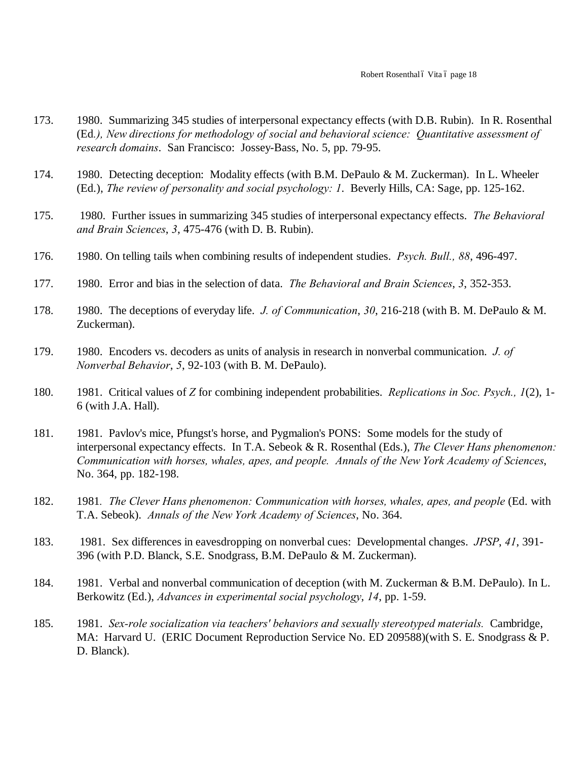- 173. 1980. Summarizing 345 studies of interpersonal expectancy effects (with D.B. Rubin). In R. Rosenthal (Ed*.), New directions for methodology of social and behavioral science: Quantitative assessment of research domains*. San Francisco: Jossey-Bass, No. 5, pp. 79-95.
- 174. 1980. Detecting deception: Modality effects (with B.M. DePaulo & M. Zuckerman). In L. Wheeler (Ed.), *The review of personality and social psychology: 1*. Beverly Hills, CA: Sage, pp. 125-162.
- 175. 1980. Further issues in summarizing 345 studies of interpersonal expectancy effects. *The Behavioral and Brain Sciences*, *3*, 475-476 (with D. B. Rubin).
- 176. 1980. On telling tails when combining results of independent studies. *Psych. Bull., 88*, 496-497.
- 177. 1980. Error and bias in the selection of data. *The Behavioral and Brain Sciences*, *3*, 352-353.
- 178. 1980. The deceptions of everyday life. *J. of Communication*, *30*, 216-218 (with B. M. DePaulo & M. Zuckerman).
- 179. 1980. Encoders vs. decoders as units of analysis in research in nonverbal communication. *J. of Nonverbal Behavior*, *5*, 92-103 (with B. M. DePaulo).
- 180. 1981. Critical values of *Z* for combining independent probabilities. *Replications in Soc. Psych., 1*(2), 1- 6 (with J.A. Hall).
- 181. 1981. Pavlov's mice, Pfungst's horse, and Pygmalion's PONS: Some models for the study of interpersonal expectancy effects. In T.A. Sebeok & R. Rosenthal (Eds.), *The Clever Hans phenomenon: Communication with horses, whales, apes, and people. Annals of the New York Academy of Sciences*, No. 364, pp. 182-198.
- 182. 1981*. The Clever Hans phenomenon: Communication with horses, whales, apes, and people* (Ed. with T.A. Sebeok). *Annals of the New York Academy of Sciences*, No. 364.
- 183. 1981. Sex differences in eavesdropping on nonverbal cues: Developmental changes. *JPSP*, *41*, 391- 396 (with P.D. Blanck, S.E. Snodgrass, B.M. DePaulo & M. Zuckerman).
- 184. 1981. Verbal and nonverbal communication of deception (with M. Zuckerman & B.M. DePaulo). In L. Berkowitz (Ed.), *Advances in experimental social psychology*, *14*, pp. 1-59.
- 185. 1981. *Sex-role socialization via teachers' behaviors and sexually stereotyped materials.* Cambridge, MA: Harvard U. (ERIC Document Reproduction Service No. ED 209588)(with S. E. Snodgrass & P. D. Blanck).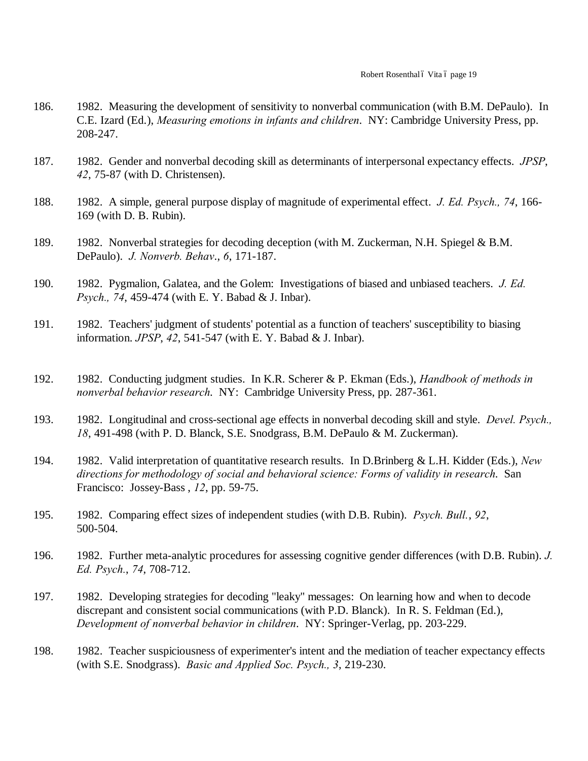- 186. 1982. Measuring the development of sensitivity to nonverbal communication (with B.M. DePaulo). In C.E. Izard (Ed.), *Measuring emotions in infants and children*. NY: Cambridge University Press, pp. 208-247.
- 187. 1982. Gender and nonverbal decoding skill as determinants of interpersonal expectancy effects. *JPSP*, *42*, 75-87 (with D. Christensen).
- 188. 1982. A simple, general purpose display of magnitude of experimental effect. *J. Ed. Psych., 74*, 166- 169 (with D. B. Rubin).
- 189. 1982. Nonverbal strategies for decoding deception (with M. Zuckerman, N.H. Spiegel & B.M. DePaulo). *J. Nonverb. Behav*., *6*, 171-187.
- 190. 1982. Pygmalion, Galatea, and the Golem: Investigations of biased and unbiased teachers. *J. Ed. Psych., 74*, 459-474 (with E. Y. Babad & J. Inbar).
- 191. 1982. Teachers' judgment of students' potential as a function of teachers' susceptibility to biasing information. *JPSP*, *42*, 541-547 (with E. Y. Babad & J. Inbar).
- 192. 1982. Conducting judgment studies. In K.R. Scherer & P. Ekman (Eds.), *Handbook of methods in nonverbal behavior research*. NY: Cambridge University Press, pp. 287-361.
- 193. 1982. Longitudinal and cross-sectional age effects in nonverbal decoding skill and style. *Devel. Psych., 18*, 491-498 (with P. D. Blanck, S.E. Snodgrass, B.M. DePaulo & M. Zuckerman).
- 194. 1982. Valid interpretation of quantitative research results. In D.Brinberg & L.H. Kidder (Eds.), *New directions for methodology of social and behavioral science: Forms of validity in research*. San Francisco: Jossey-Bass , *12*, pp. 59-75.
- 195. 1982. Comparing effect sizes of independent studies (with D.B. Rubin). *Psych. Bull.*, *92*, 500-504.
- 196. 1982. Further meta-analytic procedures for assessing cognitive gender differences (with D.B. Rubin). *J. Ed. Psych.*, *74*, 708-712.
- 197. 1982. Developing strategies for decoding "leaky" messages: On learning how and when to decode discrepant and consistent social communications (with P.D. Blanck). In R. S. Feldman (Ed.), *Development of nonverbal behavior in children*. NY: Springer-Verlag, pp. 203-229.
- 198. 1982. Teacher suspiciousness of experimenter's intent and the mediation of teacher expectancy effects (with S.E. Snodgrass). *Basic and Applied Soc. Psych., 3*, 219-230.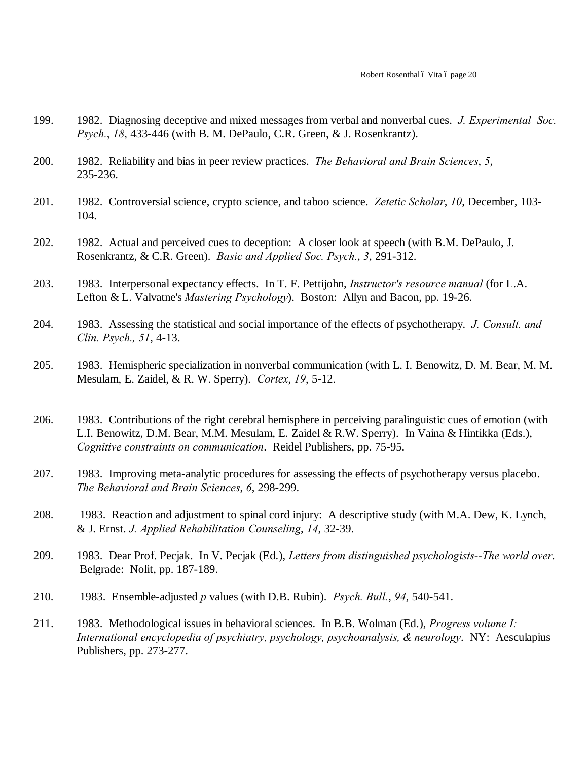- 199. 1982. Diagnosing deceptive and mixed messages from verbal and nonverbal cues. *J. Experimental Soc. Psych.*, *18*, 433-446 (with B. M. DePaulo, C.R. Green, & J. Rosenkrantz).
- 200. 1982. Reliability and bias in peer review practices. *The Behavioral and Brain Sciences*, *5*, 235-236.
- 201. 1982. Controversial science, crypto science, and taboo science. *Zetetic Scholar*, *10*, December, 103- 104.
- 202. 1982. Actual and perceived cues to deception: A closer look at speech (with B.M. DePaulo, J. Rosenkrantz, & C.R. Green). *Basic and Applied Soc. Psych.*, *3*, 291-312.
- 203. 1983. Interpersonal expectancy effects. In T. F. Pettijohn, *Instructor's resource manual* (for L.A. Lefton & L. Valvatne's *Mastering Psychology*). Boston: Allyn and Bacon, pp. 19-26.
- 204. 1983. Assessing the statistical and social importance of the effects of psychotherapy. *J. Consult. and Clin. Psych., 51*, 4-13.
- 205. 1983. Hemispheric specialization in nonverbal communication (with L. I. Benowitz, D. M. Bear, M. M. Mesulam, E. Zaidel, & R. W. Sperry). *Cortex*, *19*, 5-12.
- 206. 1983. Contributions of the right cerebral hemisphere in perceiving paralinguistic cues of emotion (with L.I. Benowitz, D.M. Bear, M.M. Mesulam, E. Zaidel & R.W. Sperry). In Vaina & Hintikka (Eds.), *Cognitive constraints on communication*. Reidel Publishers, pp. 75-95.
- 207. 1983. Improving meta-analytic procedures for assessing the effects of psychotherapy versus placebo. *The Behavioral and Brain Sciences*, *6*, 298-299.
- 208. 1983. Reaction and adjustment to spinal cord injury: A descriptive study (with M.A. Dew, K. Lynch, & J. Ernst. *J. Applied Rehabilitation Counseling*, *14*, 32-39.
- 209. 1983. Dear Prof. Pecjak. In V. Pecjak (Ed.), *Letters from distinguished psychologists--The world over*. Belgrade: Nolit, pp. 187-189.
- 210. 1983. Ensemble-adjusted *p* values (with D.B. Rubin). *Psych. Bull.*, *94*, 540-541.
- 211. 1983. Methodological issues in behavioral sciences. In B.B. Wolman (Ed.), *Progress volume I: International encyclopedia of psychiatry, psychology, psychoanalysis, & neurology*. NY: Aesculapius Publishers, pp. 273-277.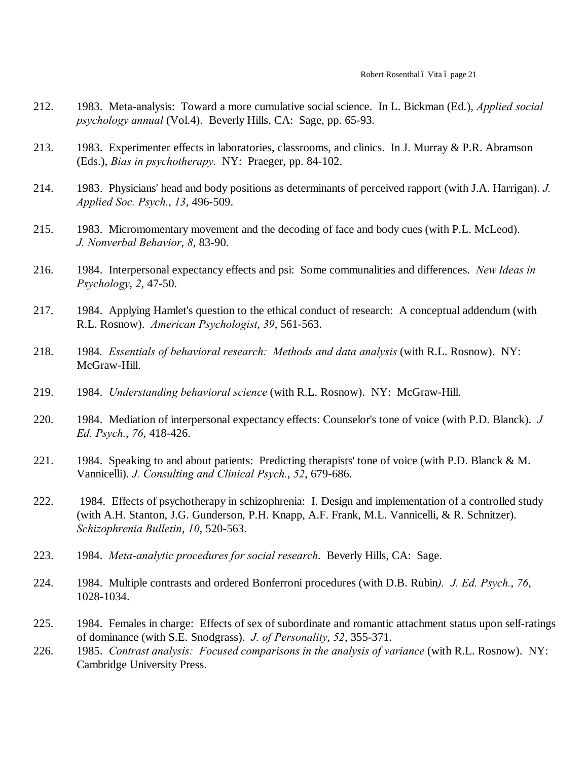- 212. 1983. Meta-analysis: Toward a more cumulative social science. In L. Bickman (Ed.), *Applied social psychology annual* (Vol.4). Beverly Hills, CA: Sage, pp. 65-93.
- 213. 1983. Experimenter effects in laboratories, classrooms, and clinics. In J. Murray & P.R. Abramson (Eds.), *Bias in psychotherapy*. NY: Praeger, pp. 84-102.
- 214. 1983. Physicians' head and body positions as determinants of perceived rapport (with J.A. Harrigan). *J. Applied Soc. Psych.*, *13*, 496-509.
- 215. 1983. Micromomentary movement and the decoding of face and body cues (with P.L. McLeod). *J. Nonverbal Behavior*, *8*, 83-90.
- 216. 1984. Interpersonal expectancy effects and psi: Some communalities and differences. *New Ideas in Psychology*, *2*, 47-50.
- 217. 1984. Applying Hamlet's question to the ethical conduct of research: A conceptual addendum (with R.L. Rosnow). *American Psychologist*, *39*, 561-563.
- 218. 1984*. Essentials of behavioral research: Methods and data analysis* (with R.L. Rosnow). NY: McGraw-Hill.
- 219. 1984. *Understanding behavioral science* (with R.L. Rosnow). NY: McGraw-Hill.
- 220. 1984. Mediation of interpersonal expectancy effects: Counselor's tone of voice (with P.D. Blanck). *J Ed. Psych.*, *76*, 418-426.
- 221. 1984. Speaking to and about patients: Predicting therapists' tone of voice (with P.D. Blanck & M. Vannicelli). *J. Consulting and Clinical Psych.*, *52*, 679-686.
- 222. 1984. Effects of psychotherapy in schizophrenia: I. Design and implementation of a controlled study (with A.H. Stanton, J.G. Gunderson, P.H. Knapp, A.F. Frank, M.L. Vannicelli, & R. Schnitzer). *Schizophrenia Bulletin*, *10*, 520-563.
- 223. 1984. *Meta-analytic procedures for social research*. Beverly Hills, CA: Sage.
- 224. 1984. Multiple contrasts and ordered Bonferroni procedures (with D.B. Rubin*). J. Ed. Psych.*, *76*, 1028-1034.
- 225. 1984. Females in charge: Effects of sex of subordinate and romantic attachment status upon self-ratings of dominance (with S.E. Snodgrass). *J. of Personality*, *52*, 355-371.
- 226. 1985. *Contrast analysis: Focused comparisons in the analysis of variance* (with R.L. Rosnow). NY: Cambridge University Press.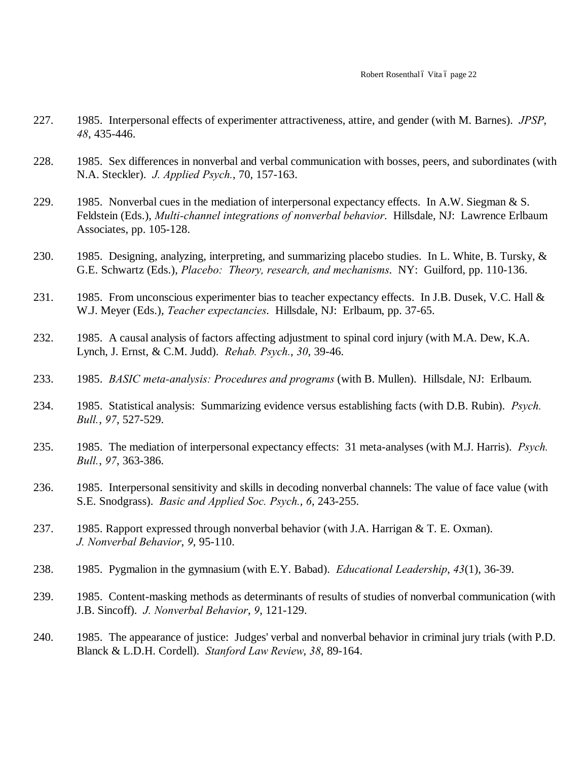- 227. 1985. Interpersonal effects of experimenter attractiveness, attire, and gender (with M. Barnes). *JPSP*, *48*, 435-446.
- 228. 1985. Sex differences in nonverbal and verbal communication with bosses, peers, and subordinates (with N.A. Steckler). *J. Applied Psych.*, 70, 157-163.
- 229. 1985. Nonverbal cues in the mediation of interpersonal expectancy effects. In A.W. Siegman & S. Feldstein (Eds.), *Multi-channel integrations of nonverbal behavior*. Hillsdale, NJ: Lawrence Erlbaum Associates, pp. 105-128.
- 230. 1985. Designing, analyzing, interpreting, and summarizing placebo studies. In L. White, B. Tursky, & G.E. Schwartz (Eds.), *Placebo: Theory, research, and mechanisms*. NY: Guilford, pp. 110-136.
- 231. 1985. From unconscious experimenter bias to teacher expectancy effects. In J.B. Dusek, V.C. Hall & W.J. Meyer (Eds.), *Teacher expectancies*. Hillsdale, NJ: Erlbaum, pp. 37-65.
- 232. 1985. A causal analysis of factors affecting adjustment to spinal cord injury (with M.A. Dew, K.A. Lynch, J. Ernst, & C.M. Judd). *Rehab. Psych.*, *30*, 39-46.
- 233. 1985. *BASIC meta-analysis: Procedures and programs* (with B. Mullen). Hillsdale, NJ: Erlbaum.
- 234. 1985. Statistical analysis: Summarizing evidence versus establishing facts (with D.B. Rubin). *Psych. Bull.*, *97*, 527-529.
- 235. 1985. The mediation of interpersonal expectancy effects: 31 meta-analyses (with M.J. Harris). *Psych. Bull.*, *97*, 363-386.
- 236. 1985. Interpersonal sensitivity and skills in decoding nonverbal channels: The value of face value (with S.E. Snodgrass). *Basic and Applied Soc. Psych.*, *6*, 243-255.
- 237. 1985. Rapport expressed through nonverbal behavior (with J.A. Harrigan & T. E. Oxman). *J. Nonverbal Behavior*, *9*, 95-110.
- 238. 1985. Pygmalion in the gymnasium (with E.Y. Babad). *Educational Leadership*, *43*(1), 36-39.
- 239. 1985. Content-masking methods as determinants of results of studies of nonverbal communication (with J.B. Sincoff). *J. Nonverbal Behavior*, *9*, 121-129.
- 240. 1985. The appearance of justice: Judges' verbal and nonverbal behavior in criminal jury trials (with P.D. Blanck & L.D.H. Cordell). *Stanford Law Review*, *38*, 89-164.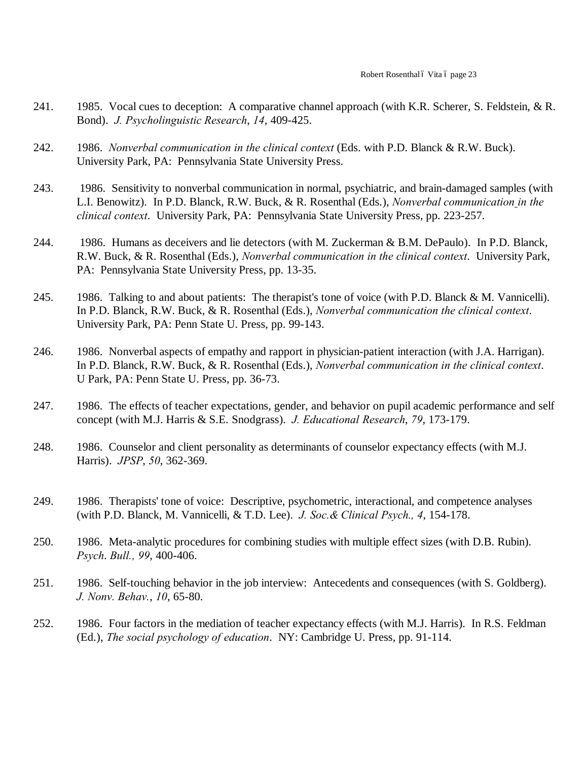- 241. 1985. Vocal cues to deception: A comparative channel approach (with K.R. Scherer, S. Feldstein, & R. Bond). *J. Psycholinguistic Research*, *14*, 409-425.
- 242. 1986. *Nonverbal communication in the clinical context* (Eds. with P.D. Blanck & R.W. Buck). University Park, PA: Pennsylvania State University Press.
- 243. 1986. Sensitivity to nonverbal communication in normal, psychiatric, and brain-damaged samples (with L.I. Benowitz). In P.D. Blanck, R.W. Buck, & R. Rosenthal (Eds.), *Nonverbal communication in the clinical context*. University Park, PA: Pennsylvania State University Press, pp. 223-257.
- 244. 1986. Humans as deceivers and lie detectors (with M. Zuckerman & B.M. DePaulo). In P.D. Blanck, R.W. Buck, & R. Rosenthal (Eds.), *Nonverbal communication in the clinical context*. University Park, PA: Pennsylvania State University Press, pp. 13-35.
- 245. 1986. Talking to and about patients: The therapist's tone of voice (with P.D. Blanck & M. Vannicelli). In P.D. Blanck, R.W. Buck, & R. Rosenthal (Eds.), *Nonverbal communication the clinical context*. University Park, PA: Penn State U. Press, pp. 99-143.
- 246. 1986. Nonverbal aspects of empathy and rapport in physician-patient interaction (with J.A. Harrigan). In P.D. Blanck, R.W. Buck, & R. Rosenthal (Eds.), *Nonverbal communication in the clinical context*. U Park, PA: Penn State U. Press, pp. 36-73.
- 247. 1986. The effects of teacher expectations, gender, and behavior on pupil academic performance and self concept (with M.J. Harris & S.E. Snodgrass). *J. Educational Research*, *79*, 173-179.
- 248. 1986. Counselor and client personality as determinants of counselor expectancy effects (with M.J. Harris). *JPSP*, *50*, 362-369.
- 249. 1986. Therapists' tone of voice: Descriptive, psychometric, interactional, and competence analyses (with P.D. Blanck, M. Vannicelli, & T.D. Lee). *J. Soc.& Clinical Psych., 4*, 154-178.
- 250. 1986. Meta-analytic procedures for combining studies with multiple effect sizes (with D.B. Rubin). *Psych*. *Bull., 99*, 400-406.
- 251. 1986. Self-touching behavior in the job interview: Antecedents and consequences (with S. Goldberg). *J. Nonv. Behav.*, *10*, 65-80.
- 252. 1986. Four factors in the mediation of teacher expectancy effects (with M.J. Harris). In R.S. Feldman (Ed.), *The social psychology of education*. NY: Cambridge U. Press, pp. 91-114.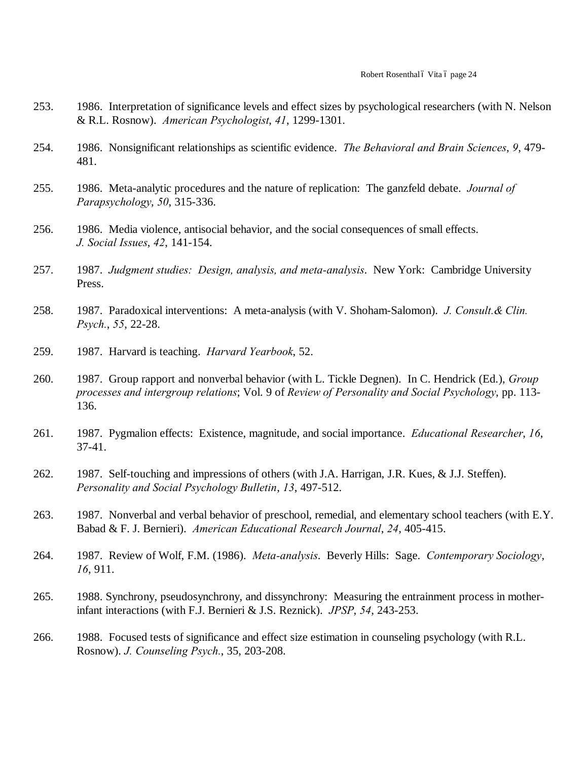- 253. 1986. Interpretation of significance levels and effect sizes by psychological researchers (with N. Nelson & R.L. Rosnow). *American Psychologist*, *41*, 1299-1301.
- 254. 1986. Nonsignificant relationships as scientific evidence. *The Behavioral and Brain Sciences*, *9*, 479- 481.
- 255. 1986. Meta-analytic procedures and the nature of replication: The ganzfeld debate. *Journal of Parapsychology*, *50*, 315-336.
- 256. 1986. Media violence, antisocial behavior, and the social consequences of small effects. *J. Social Issues*, *42*, 141-154.
- 257. 1987. *Judgment studies: Design, analysis, and meta-analysis*. New York: Cambridge University Press.
- 258. 1987. Paradoxical interventions: A meta-analysis (with V. Shoham-Salomon). *J. Consult.& Clin. Psych.*, *55*, 22-28.
- 259. 1987. Harvard is teaching. *Harvard Yearbook*, 52.
- 260. 1987. Group rapport and nonverbal behavior (with L. Tickle Degnen). In C. Hendrick (Ed.), *Group processes and intergroup relations*; Vol. 9 of *Review of Personality and Social Psychology*, pp. 113- 136.
- 261. 1987. Pygmalion effects: Existence, magnitude, and social importance. *Educational Researcher*, *16*, 37-41.
- 262. 1987. Self-touching and impressions of others (with J.A. Harrigan, J.R. Kues, & J.J. Steffen). *Personality and Social Psychology Bulletin*, *13*, 497-512.
- 263. 1987. Nonverbal and verbal behavior of preschool, remedial, and elementary school teachers (with E.Y. Babad & F. J. Bernieri). *American Educational Research Journal*, *24*, 405-415.
- 264. 1987. Review of Wolf, F.M. (1986). *Meta-analysis*. Beverly Hills: Sage. *Contemporary Sociology*, *16*, 911.
- 265. 1988. Synchrony, pseudosynchrony, and dissynchrony: Measuring the entrainment process in motherinfant interactions (with F.J. Bernieri & J.S. Reznick). *JPSP*, *54*, 243-253.
- 266. 1988. Focused tests of significance and effect size estimation in counseling psychology (with R.L. Rosnow). *J. Counseling Psych.*, 35, 203-208.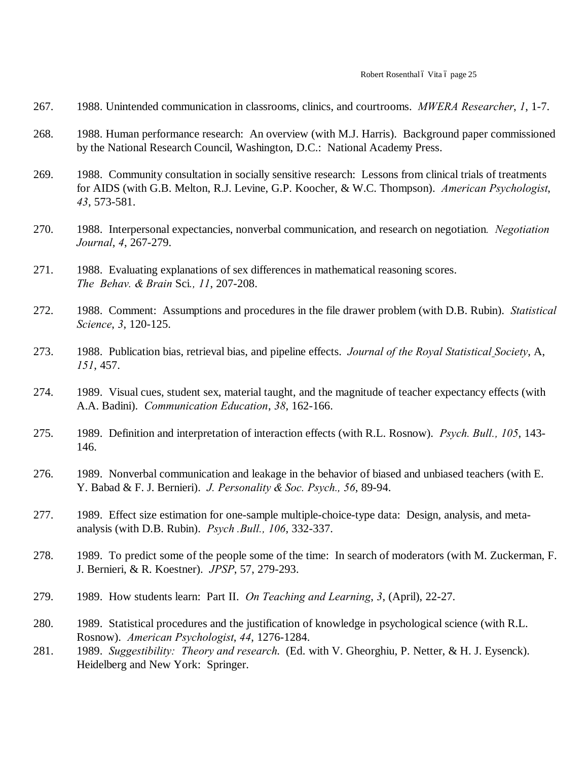#### Robert Rosenthal ó Vita ó page 25

- 267. 1988. Unintended communication in classrooms, clinics, and courtrooms. *MWERA Researcher*, *1*, 1-7.
- 268. 1988. Human performance research: An overview (with M.J. Harris). Background paper commissioned by the National Research Council, Washington, D.C.: National Academy Press.
- 269. 1988. Community consultation in socially sensitive research: Lessons from clinical trials of treatments for AIDS (with G.B. Melton, R.J. Levine, G.P. Koocher, & W.C. Thompson). *American Psychologist*, *43*, 573-581.
- 270. 1988. Interpersonal expectancies, nonverbal communication, and research on negotiation*. Negotiation Journal*, *4*, 267-279.
- 271. 1988. Evaluating explanations of sex differences in mathematical reasoning scores. *The Behav. & Brain* Sci*., 11*, 207-208.
- 272. 1988. Comment: Assumptions and procedures in the file drawer problem (with D.B. Rubin). *Statistical Science*, *3*, 120-125.
- 273. 1988. Publication bias, retrieval bias, and pipeline effects. *Journal of the Royal Statistical Society*, A, *151*, 457.
- 274. 1989. Visual cues, student sex, material taught, and the magnitude of teacher expectancy effects (with A.A. Badini). *Communication Education*, *38*, 162-166.
- 275. 1989. Definition and interpretation of interaction effects (with R.L. Rosnow). *Psych. Bull., 105*, 143- 146.
- 276. 1989. Nonverbal communication and leakage in the behavior of biased and unbiased teachers (with E. Y. Babad & F. J. Bernieri). *J. Personality & Soc. Psych., 56*, 89-94.
- 277. 1989. Effect size estimation for one-sample multiple-choice-type data: Design, analysis, and metaanalysis (with D.B. Rubin). *Psych .Bull., 106*, 332-337.
- 278. 1989. To predict some of the people some of the time: In search of moderators (with M. Zuckerman, F. J. Bernieri, & R. Koestner). *JPSP*, 57, 279-293.
- 279. 1989. How students learn: Part II. *On Teaching and Learning*, *3*, (April), 22-27.
- 280. 1989. Statistical procedures and the justification of knowledge in psychological science (with R.L. Rosnow). *American Psychologist*, *44*, 1276-1284.
- 281. 1989. *Suggestibility: Theory and research*. (Ed. with V. Gheorghiu, P. Netter, & H. J. Eysenck). Heidelberg and New York: Springer.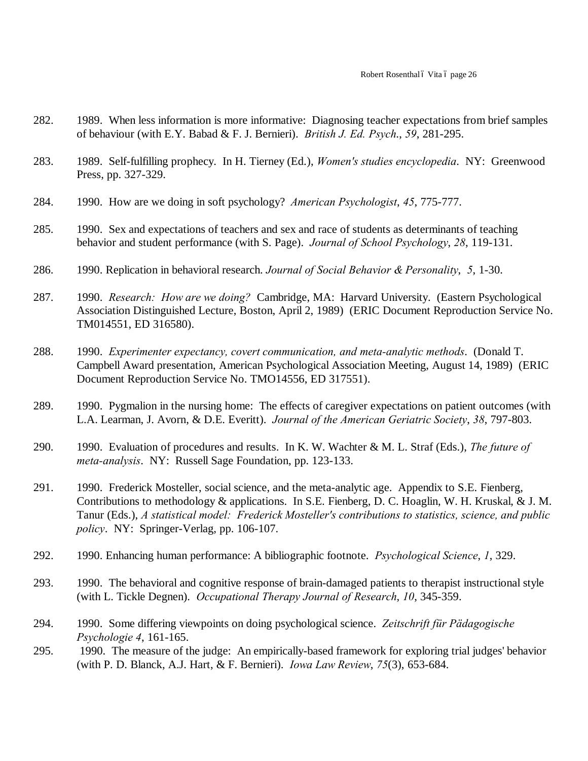- 282. 1989. When less information is more informative: Diagnosing teacher expectations from brief samples of behaviour (with E.Y. Babad & F. J. Bernieri). *British J. Ed. Psych*., *59*, 281-295.
- 283. 1989. Self-fulfilling prophecy. In H. Tierney (Ed.), *Women's studies encyclopedia*. NY: Greenwood Press, pp. 327-329.
- 284. 1990. How are we doing in soft psychology? *American Psychologist*, *45*, 775-777.
- 285. 1990. Sex and expectations of teachers and sex and race of students as determinants of teaching behavior and student performance (with S. Page). *Journal of School Psychology*, *28*, 119-131.
- 286. 1990. Replication in behavioral research. *Journal of Social Behavior & Personality*, *5*, 1-30.
- 287. 1990. *Research: How are we doing?* Cambridge, MA: Harvard University. (Eastern Psychological Association Distinguished Lecture, Boston, April 2, 1989) (ERIC Document Reproduction Service No. TM014551, ED 316580).
- 288. 1990. *Experimenter expectancy, covert communication, and meta-analytic methods*. (Donald T. Campbell Award presentation, American Psychological Association Meeting, August 14, 1989) (ERIC Document Reproduction Service No. TMO14556, ED 317551).
- 289. 1990. Pygmalion in the nursing home: The effects of caregiver expectations on patient outcomes (with L.A. Learman, J. Avorn, & D.E. Everitt). *Journal of the American Geriatric Society*, *38*, 797-803.
- 290. 1990. Evaluation of procedures and results. In K. W. Wachter & M. L. Straf (Eds.), *The future of meta-analysis*. NY: Russell Sage Foundation, pp. 123-133.
- 291. 1990. Frederick Mosteller, social science, and the meta-analytic age. Appendix to S.E. Fienberg, Contributions to methodology & applications. In S.E. Fienberg, D. C. Hoaglin, W. H. Kruskal, & J. M. Tanur (Eds.), *A statistical model: Frederick Mosteller's contributions to statistics, science, and public policy*. NY: Springer-Verlag, pp. 106-107.
- 292. 1990. Enhancing human performance: A bibliographic footnote. *Psychological Science*, *1*, 329.
- 293. 1990. The behavioral and cognitive response of brain-damaged patients to therapist instructional style (with L. Tickle Degnen). *Occupational Therapy Journal of Research*, *10*, 345-359.
- 294. 1990. Some differing viewpoints on doing psychological science. *Zeitschrift für Pädagogische Psychologie 4*, 161-165.
- 295. 1990. The measure of the judge: An empirically-based framework for exploring trial judges' behavior (with P. D. Blanck, A.J. Hart, & F. Bernieri). *Iowa Law Review*, *75*(3), 653-684.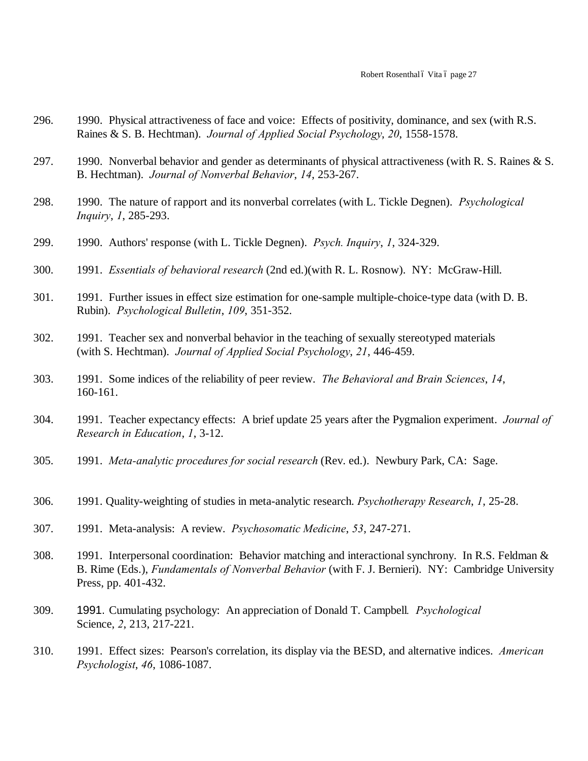- 296. 1990. Physical attractiveness of face and voice: Effects of positivity, dominance, and sex (with R.S. Raines & S. B. Hechtman). *Journal of Applied Social Psychology*, *20*, 1558-1578.
- 297. 1990. Nonverbal behavior and gender as determinants of physical attractiveness (with R. S. Raines & S. B. Hechtman). *Journal of Nonverbal Behavior*, *14*, 253-267.
- 298. 1990. The nature of rapport and its nonverbal correlates (with L. Tickle Degnen). *Psychological Inquiry*, *1*, 285-293.
- 299. 1990. Authors' response (with L. Tickle Degnen). *Psych. Inquiry*, *1*, 324-329.
- 300. 1991. *Essentials of behavioral research* (2nd ed.)(with R. L. Rosnow). NY: McGraw-Hill.
- 301. 1991. Further issues in effect size estimation for one-sample multiple-choice-type data (with D. B. Rubin). *Psychological Bulletin*, *109*, 351-352.
- 302. 1991. Teacher sex and nonverbal behavior in the teaching of sexually stereotyped materials (with S. Hechtman). *Journal of Applied Social Psychology*, *21*, 446-459.
- 303. 1991. Some indices of the reliability of peer review. *The Behavioral and Brain Sciences*, *14*, 160-161.
- 304. 1991. Teacher expectancy effects: A brief update 25 years after the Pygmalion experiment. *Journal of Research in Education*, *1*, 3-12.
- 305. 1991. *Meta-analytic procedures for social research* (Rev. ed.). Newbury Park, CA: Sage.
- 306. 1991. Quality-weighting of studies in meta-analytic research. *Psychotherapy Research*, *1*, 25-28.
- 307. 1991. Meta-analysis: A review. *Psychosomatic Medicine*, *53*, 247-271.
- 308. 1991. Interpersonal coordination: Behavior matching and interactional synchrony. In R.S. Feldman & B. Rime (Eds.), *Fundamentals of Nonverbal Behavior* (with F. J. Bernieri). NY: Cambridge University Press, pp. 401-432.
- 309. 1991. Cumulating psychology: An appreciation of Donald T. Campbell*. Psychological* Science, *2*, 213, 217-221.
- 310. 1991. Effect sizes: Pearson's correlation, its display via the BESD, and alternative indices. *American Psychologist*, *46*, 1086-1087.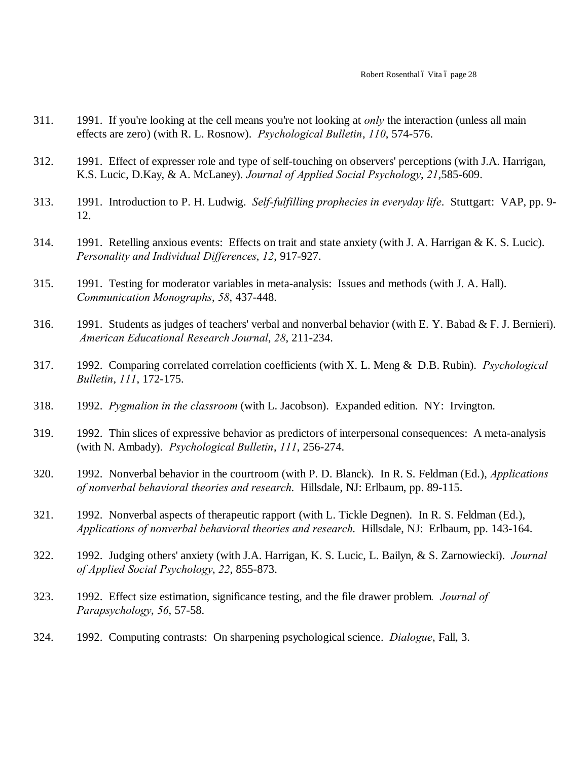- 311. 1991. If you're looking at the cell means you're not looking at *only* the interaction (unless all main effects are zero) (with R. L. Rosnow). *Psychological Bulletin*, *110*, 574-576.
- 312. 1991. Effect of expresser role and type of self-touching on observers' perceptions (with J.A. Harrigan, K.S. Lucic, D.Kay, & A. McLaney). *Journal of Applied Social Psychology*, *21*,585-609.
- 313. 1991. Introduction to P. H. Ludwig. *Self-fulfilling prophecies in everyday life*. Stuttgart: VAP, pp. 9- 12.
- 314. 1991. Retelling anxious events: Effects on trait and state anxiety (with J. A. Harrigan & K. S. Lucic). *Personality and Individual Differences*, *12*, 917-927.
- 315. 1991. Testing for moderator variables in meta-analysis: Issues and methods (with J. A. Hall). *Communication Monographs*, *58*, 437-448.
- 316. 1991. Students as judges of teachers' verbal and nonverbal behavior (with E. Y. Babad & F. J. Bernieri). *American Educational Research Journal*, *28*, 211-234.
- 317. 1992. Comparing correlated correlation coefficients (with X. L. Meng & D.B. Rubin). *Psychological Bulletin*, *111*, 172-175.
- 318. 1992. *Pygmalion in the classroom* (with L. Jacobson). Expanded edition. NY: Irvington.
- 319. 1992. Thin slices of expressive behavior as predictors of interpersonal consequences: A meta-analysis (with N. Ambady). *Psychological Bulletin*, *111*, 256-274.
- 320. 1992. Nonverbal behavior in the courtroom (with P. D. Blanck). In R. S. Feldman (Ed.), *Applications of nonverbal behavioral theories and research*. Hillsdale, NJ: Erlbaum, pp. 89-115.
- 321. 1992. Nonverbal aspects of therapeutic rapport (with L. Tickle Degnen). In R. S. Feldman (Ed.), *Applications of nonverbal behavioral theories and research*. Hillsdale, NJ: Erlbaum, pp. 143-164.
- 322. 1992. Judging others' anxiety (with J.A. Harrigan, K. S. Lucic, L. Bailyn, & S. Zarnowiecki). *Journal of Applied Social Psychology*, *22*, 855-873.
- 323. 1992. Effect size estimation, significance testing, and the file drawer problem*. Journal of Parapsychology*, *56*, 57-58.
- 324. 1992. Computing contrasts: On sharpening psychological science. *Dialogue*, Fall, 3.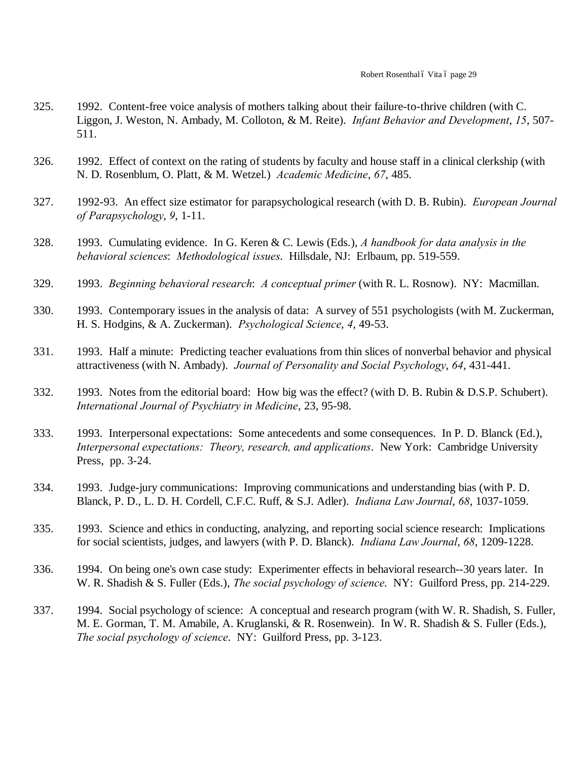- 325. 1992. Content-free voice analysis of mothers talking about their failure-to-thrive children (with C. Liggon, J. Weston, N. Ambady, M. Colloton, & M. Reite). *Infant Behavior and Development*, *15*, 507- 511.
- 326. 1992. Effect of context on the rating of students by faculty and house staff in a clinical clerkship (with N. D. Rosenblum, O. Platt, & M. Wetzel.) *Academic Medicine*, *67*, 485.
- 327. 1992-93. An effect size estimator for parapsychological research (with D. B. Rubin). *European Journal of Parapsychology*, *9*, 1-11.
- 328. 1993. Cumulating evidence. In G. Keren & C. Lewis (Eds.), *A handbook for data analysis in the behavioral sciences*: *Methodological issues*. Hillsdale, NJ: Erlbaum, pp. 519-559.
- 329. 1993. *Beginning behavioral research*: *A conceptual primer* (with R. L. Rosnow). NY: Macmillan.
- 330. 1993. Contemporary issues in the analysis of data: A survey of 551 psychologists (with M. Zuckerman, H. S. Hodgins, & A. Zuckerman). *Psychological Science*, *4*, 49-53.
- 331. 1993. Half a minute: Predicting teacher evaluations from thin slices of nonverbal behavior and physical attractiveness (with N. Ambady). *Journal of Personality and Social Psychology*, *64*, 431-441.
- 332. 1993. Notes from the editorial board: How big was the effect? (with D. B. Rubin & D.S.P. Schubert). *International Journal of Psychiatry in Medicine*, 23, 95-98.
- 333. 1993. Interpersonal expectations: Some antecedents and some consequences. In P. D. Blanck (Ed.), *Interpersonal expectations: Theory, research, and applications*. New York: Cambridge University Press, pp. 3-24.
- 334. 1993. Judge-jury communications: Improving communications and understanding bias (with P. D. Blanck, P. D., L. D. H. Cordell, C.F.C. Ruff, & S.J. Adler). *Indiana Law Journal*, *68*, 1037-1059.
- 335. 1993. Science and ethics in conducting, analyzing, and reporting social science research: Implications for social scientists, judges, and lawyers (with P. D. Blanck). *Indiana Law Journal*, *68*, 1209-1228.
- 336. 1994. On being one's own case study: Experimenter effects in behavioral research--30 years later. In W. R. Shadish & S. Fuller (Eds.), *The social psychology of science*. NY: Guilford Press, pp. 214-229.
- 337. 1994. Social psychology of science: A conceptual and research program (with W. R. Shadish, S. Fuller, M. E. Gorman, T. M. Amabile, A. Kruglanski, & R. Rosenwein). In W. R. Shadish & S. Fuller (Eds.), *The social psychology of science*. NY: Guilford Press, pp. 3-123.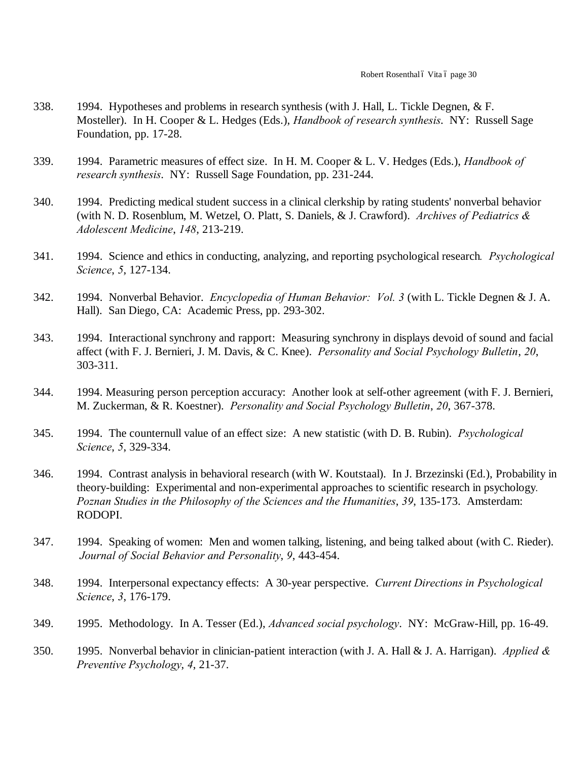- 338. 1994. Hypotheses and problems in research synthesis (with J. Hall, L. Tickle Degnen, & F. Mosteller). In H. Cooper & L. Hedges (Eds.), *Handbook of research synthesis*. NY: Russell Sage Foundation, pp. 17-28.
- 339. 1994. Parametric measures of effect size. In H. M. Cooper & L. V. Hedges (Eds.), *Handbook of research synthesis*. NY: Russell Sage Foundation, pp. 231-244.
- 340. 1994. Predicting medical student success in a clinical clerkship by rating students' nonverbal behavior (with N. D. Rosenblum, M. Wetzel, O. Platt, S. Daniels, & J. Crawford). *Archives of Pediatrics & Adolescent Medicine*, *148*, 213-219.
- 341. 1994. Science and ethics in conducting, analyzing, and reporting psychological research*. Psychological Science*, *5*, 127-134.
- 342. 1994. Nonverbal Behavior. *Encyclopedia of Human Behavior: Vol. 3* (with L. Tickle Degnen & J. A. Hall). San Diego, CA: Academic Press, pp. 293-302.
- 343. 1994. Interactional synchrony and rapport: Measuring synchrony in displays devoid of sound and facial affect (with F. J. Bernieri, J. M. Davis, & C. Knee). *Personality and Social Psychology Bulletin*, *20*, 303-311.
- 344. 1994. Measuring person perception accuracy: Another look at self-other agreement (with F. J. Bernieri, M. Zuckerman, & R. Koestner). *Personality and Social Psychology Bulletin*, *20*, 367-378.
- 345. 1994. The counternull value of an effect size: A new statistic (with D. B. Rubin). *Psychological Science*, *5*, 329-334.
- 346. 1994. Contrast analysis in behavioral research (with W. Koutstaal). In J. Brzezinski (Ed.), Probability in theory-building: Experimental and non-experimental approaches to scientific research in psychology*. Poznan Studies in the Philosophy of the Sciences and the Humanities*, *39*, 135-173. Amsterdam: RODOPI.
- 347. 1994. Speaking of women: Men and women talking, listening, and being talked about (with C. Rieder). *Journal of Social Behavior and Personality*, *9*, 443-454.
- 348. 1994. Interpersonal expectancy effects: A 30-year perspective. *Current Directions in Psychological Science*, *3*, 176-179.
- 349. 1995. Methodology. In A. Tesser (Ed.), *Advanced social psychology*. NY: McGraw-Hill, pp. 16-49.
- 350. 1995. Nonverbal behavior in clinician-patient interaction (with J. A. Hall & J. A. Harrigan). *Applied & Preventive Psychology*, *4*, 21-37.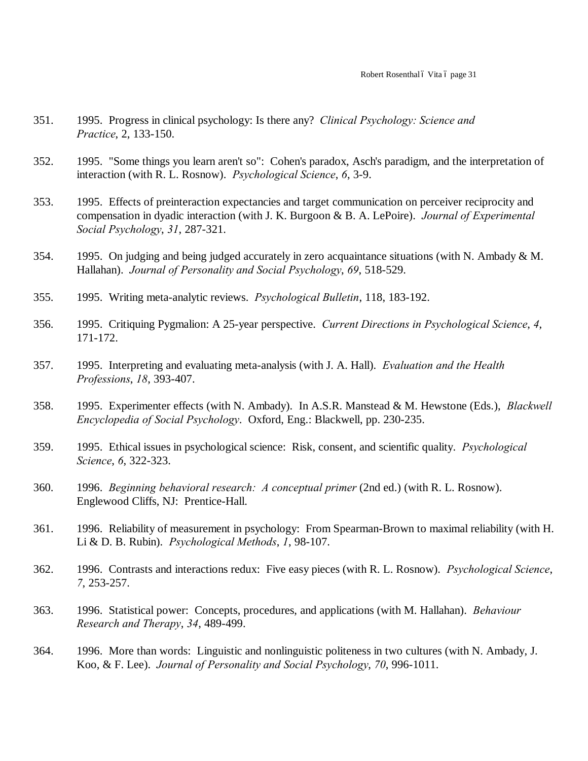- 351. 1995. Progress in clinical psychology: Is there any? *Clinical Psychology: Science and Practice*, 2, 133-150.
- 352. 1995. "Some things you learn aren't so": Cohen's paradox, Asch's paradigm, and the interpretation of interaction (with R. L. Rosnow). *Psychological Science*, *6*, 3-9.
- 353. 1995. Effects of preinteraction expectancies and target communication on perceiver reciprocity and compensation in dyadic interaction (with J. K. Burgoon & B. A. LePoire). *Journal of Experimental Social Psychology*, *31*, 287-321.
- 354. 1995. On judging and being judged accurately in zero acquaintance situations (with N. Ambady & M. Hallahan). *Journal of Personality and Social Psychology*, *69*, 518-529.
- 355. 1995. Writing meta-analytic reviews. *Psychological Bulletin*, 118, 183-192.
- 356. 1995. Critiquing Pygmalion: A 25-year perspective. *Current Directions in Psychological Science*, *4*, 171-172.
- 357. 1995. Interpreting and evaluating meta-analysis (with J. A. Hall). *Evaluation and the Health Professions*, *18*, 393-407.
- 358. 1995. Experimenter effects (with N. Ambady). In A.S.R. Manstead & M. Hewstone (Eds.), *Blackwell Encyclopedia of Social Psychology*. Oxford, Eng.: Blackwell, pp. 230-235.
- 359. 1995. Ethical issues in psychological science: Risk, consent, and scientific quality. *Psychological Science*, *6*, 322-323.
- 360. 1996. *Beginning behavioral research: A conceptual primer* (2nd ed.) (with R. L. Rosnow). Englewood Cliffs, NJ: Prentice-Hall.
- 361. 1996. Reliability of measurement in psychology: From Spearman-Brown to maximal reliability (with H. Li & D. B. Rubin). *Psychological Methods*, *1*, 98-107.
- 362. 1996. Contrasts and interactions redux: Five easy pieces (with R. L. Rosnow). *Psychological Science*, *7*, 253-257.
- 363. 1996. Statistical power: Concepts, procedures, and applications (with M. Hallahan). *Behaviour Research and Therapy*, *34*, 489-499.
- 364. 1996. More than words: Linguistic and nonlinguistic politeness in two cultures (with N. Ambady, J. Koo, & F. Lee). *Journal of Personality and Social Psychology*, *70*, 996-1011.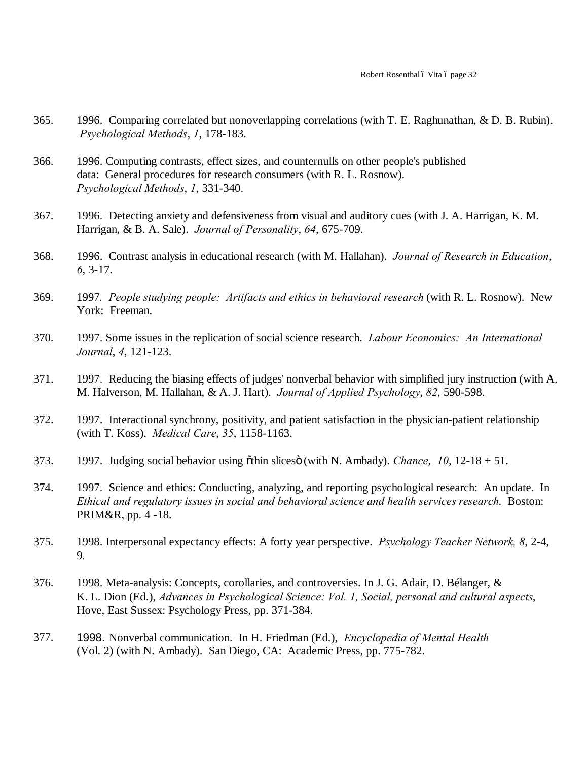- 365. 1996. Comparing correlated but nonoverlapping correlations (with T. E. Raghunathan, & D. B. Rubin). *Psychological Methods*, *1*, 178-183.
- 366. 1996. Computing contrasts, effect sizes, and counternulls on other people's published data: General procedures for research consumers (with R. L. Rosnow). *Psychological Methods*, *1*, 331-340.
- 367. 1996. Detecting anxiety and defensiveness from visual and auditory cues (with J. A. Harrigan, K. M. Harrigan, & B. A. Sale). *Journal of Personality*, *64*, 675-709.
- 368. 1996. Contrast analysis in educational research (with M. Hallahan). *Journal of Research in Education*, *6*, 3-17.
- 369. 1997*. People studying people: Artifacts and ethics in behavioral research* (with R. L. Rosnow). New York: Freeman.
- 370. 1997. Some issues in the replication of social science research. *Labour Economics: An International Journal*, *4*, 121-123.
- 371. 1997. Reducing the biasing effects of judges' nonverbal behavior with simplified jury instruction (with A. M. Halverson, M. Hallahan, & A. J. Hart). *Journal of Applied Psychology*, *82*, 590-598.
- 372. 1997. Interactional synchrony, positivity, and patient satisfaction in the physician-patient relationship (with T. Koss). *Medical Care*, *35*, 1158-1163.
- 373. 1997. Judging social behavior using "thin slices" (with N. Ambady). *Chance*, *10*, 12-18 + 51.
- 374. 1997. Science and ethics: Conducting, analyzing, and reporting psychological research: An update. In *Ethical and regulatory issues in social and behavioral science and health services research*. Boston: PRIM&R, pp. 4 -18.
- 375. 1998. Interpersonal expectancy effects: A forty year perspective. *Psychology Teacher Network, 8*, 2-4, 9*.*
- 376. 1998. Meta-analysis: Concepts, corollaries, and controversies. In J. G. Adair, D. Bélanger, & K. L. Dion (Ed.), *Advances in Psychological Science: Vol. 1, Social, personal and cultural aspects*, Hove, East Sussex: Psychology Press, pp. 371-384.
- 377. 1998. Nonverbal communication. In H. Friedman (Ed.), *Encyclopedia of Mental Health* (Vol. 2) (with N. Ambady). San Diego, CA: Academic Press, pp. 775-782.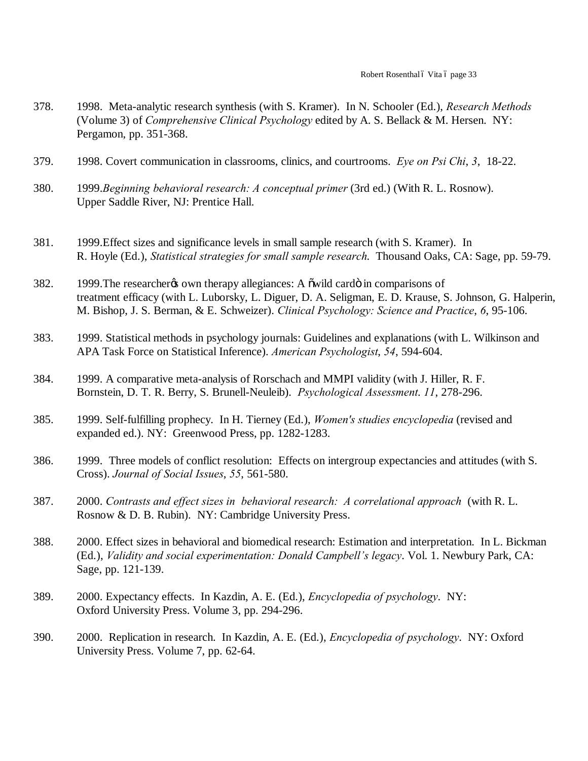- 378. 1998. Meta-analytic research synthesis (with S. Kramer). In N. Schooler (Ed.), *Research Methods*  (Volume 3) of *Comprehensive Clinical Psychology* edited by A. S. Bellack & M. Hersen. NY: Pergamon, pp. 351-368.
- 379. 1998. Covert communication in classrooms, clinics, and courtrooms. *Eye on Psi Chi*, *3*, 18-22.
- 380. 1999.*Beginning behavioral research: A conceptual primer* (3rd ed.) (With R. L. Rosnow). Upper Saddle River, NJ: Prentice Hall.
- 381. 1999.Effect sizes and significance levels in small sample research (with S. Kramer). In R. Hoyle (Ed.), *Statistical strategies for small sample research*. Thousand Oaks, CA: Sage, pp. 59-79.
- 382. 1999. The researcher to own therapy allegiances: A owild cardo in comparisons of treatment efficacy (with L. Luborsky, L. Diguer, D. A. Seligman, E. D. Krause, S. Johnson, G. Halperin, M. Bishop, J. S. Berman, & E. Schweizer). *Clinical Psychology: Science and Practice*, *6*, 95-106.
- 383. 1999. Statistical methods in psychology journals: Guidelines and explanations (with L. Wilkinson and APA Task Force on Statistical Inference). *American Psychologist*, *54*, 594-604.
- 384. 1999. A comparative meta-analysis of Rorschach and MMPI validity (with J. Hiller, R. F. Bornstein, D. T. R. Berry, S. Brunell-Neuleib). *Psychological Assessment*. *11*, 278-296.
- 385. 1999. Self-fulfilling prophecy. In H. Tierney (Ed.), *Women's studies encyclopedia* (revised and expanded ed.). NY: Greenwood Press, pp. 1282-1283.
- 386. 1999. Three models of conflict resolution: Effects on intergroup expectancies and attitudes (with S. Cross). *Journal of Social Issues*, *55*, 561-580.
- 387. 2000. *Contrasts and effect sizes in behavioral research: A correlational approach* (with R. L. Rosnow & D. B. Rubin). NY: Cambridge University Press.
- 388. 2000. Effect sizes in behavioral and biomedical research: Estimation and interpretation. In L. Bickman (Ed.), *Validity and social experimentation: Donald Campbell's legacy*. Vol. 1. Newbury Park, CA: Sage, pp. 121-139.
- 389. 2000. Expectancy effects. In Kazdin, A. E. (Ed.), *Encyclopedia of psychology*. NY: Oxford University Press. Volume 3, pp. 294-296.
- 390. 2000. Replication in research. In Kazdin, A. E. (Ed.), *Encyclopedia of psychology*. NY: Oxford University Press. Volume 7, pp. 62-64.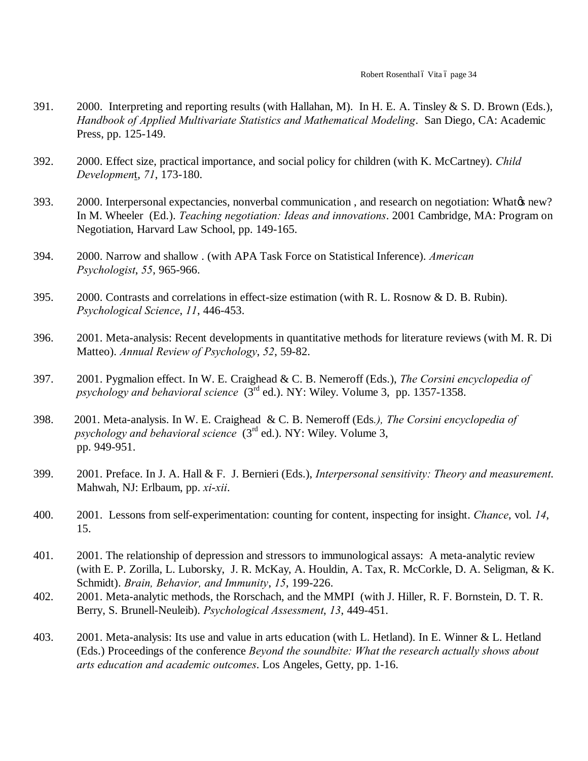- 391. 2000. Interpreting and reporting results (with Hallahan, M). In H. E. A. Tinsley & S. D. Brown (Eds.), *Handbook of Applied Multivariate Statistics and Mathematical Modeling*. San Diego, CA: Academic Press, pp. 125-149.
- 392. 2000. Effect size, practical importance, and social policy for children (with K. McCartney). *Child Developmen*t, *71*, 173-180.
- 393. 2000. Interpersonal expectancies, nonverbal communication, and research on negotiation: What & new? In M. Wheeler (Ed.). *Teaching negotiation: Ideas and innovations*. 2001 Cambridge, MA: Program on Negotiation, Harvard Law School, pp. 149-165.
- 394. 2000. Narrow and shallow . (with APA Task Force on Statistical Inference). *American Psychologist*, *55*, 965-966.
- 395. 2000. Contrasts and correlations in effect-size estimation (with R. L. Rosnow & D. B. Rubin). *Psychological Science*, *11*, 446-453.
- 396. 2001. Meta-analysis: Recent developments in quantitative methods for literature reviews (with M. R. Di Matteo). *Annual Review of Psychology*, *52*, 59-82.
- 397. 2001. Pygmalion effect. In W. E. Craighead & C. B. Nemeroff (Eds.), *The Corsini encyclopedia of psychology and behavioral science* (3rd ed.). NY: Wiley. Volume 3, pp. 1357-1358.
- 398. 2001. Meta-analysis. In W. E. Craighead & C. B. Nemeroff (Eds*.), The Corsini encyclopedia of psychology and behavioral science* (3rd ed.). NY: Wiley. Volume 3, pp. 949-951.
- 399. 2001. Preface. In J. A. Hall & F. J. Bernieri (Eds.), *Interpersonal sensitivity: Theory and measurement*. Mahwah, NJ: Erlbaum, pp. *xi*-*xii*.
- 400. 2001. Lessons from self-experimentation: counting for content, inspecting for insight. *Chance*, vol. *14*, 15.
- 401. 2001. The relationship of depression and stressors to immunological assays: A meta-analytic review (with E. P. Zorilla, L. Luborsky, J. R. McKay, A. Houldin, A. Tax, R. McCorkle, D. A. Seligman, & K. Schmidt). *Brain, Behavior, and Immunity*, *15*, 199-226.
- 402. 2001. Meta-analytic methods, the Rorschach, and the MMPI (with J. Hiller, R. F. Bornstein, D. T. R. Berry, S. Brunell-Neuleib). *Psychological Assessment*, *13*, 449-451.
- 403. 2001. Meta-analysis: Its use and value in arts education (with L. Hetland). In E. Winner & L. Hetland (Eds.) Proceedings of the conference *Beyond the soundbite: What the research actually shows about arts education and academic outcomes*. Los Angeles, Getty, pp. 1-16.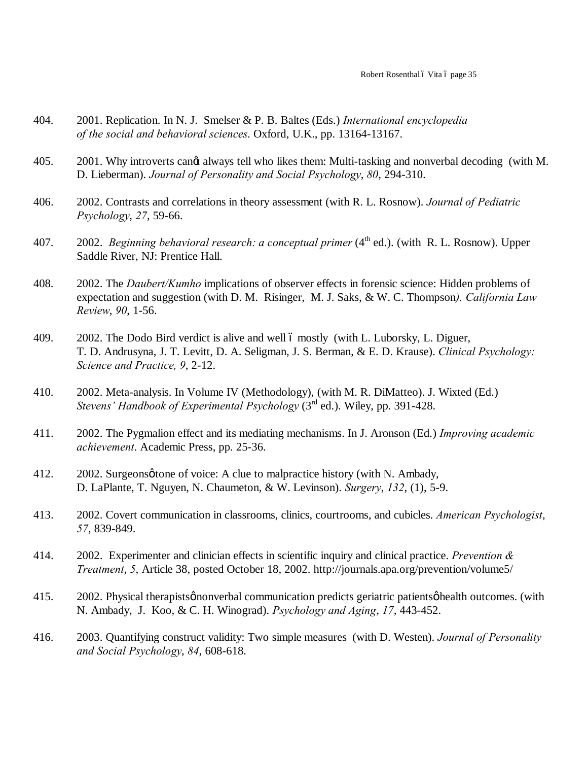- 404. 2001. Replication. In N. J. Smelser & P. B. Baltes (Eds.) *International encyclopedia of the social and behavioral sciences*. Oxford, U.K., pp. 13164-13167.
- 405. 2001. Why introverts cange always tell who likes them: Multi-tasking and nonverbal decoding (with M. D. Lieberman). *Journal of Personality and Social Psychology*, *80*, 294-310.
- 406. 2002. Contrasts and correlations in theory assessment (with R. L. Rosnow). *Journal of Pediatric Psychology*, *27*, 59-66.
- 407. 2002. *Beginning behavioral research: a conceptual primer* (4<sup>th</sup> ed.). (with R. L. Rosnow). Upper Saddle River, NJ: Prentice Hall.
- 408. 2002. The *Daubert/Kumho* implications of observer effects in forensic science: Hidden problems of expectation and suggestion (with D. M. Risinger, M. J. Saks, & W. C. Thompson*). California Law Review*, *90*, 1-56.
- 409. 2002. The Dodo Bird verdict is alive and well 6 mostly (with L. Luborsky, L. Diguer, T. D. Andrusyna, J. T. Levitt, D. A. Seligman, J. S. Berman, & E. D. Krause). *Clinical Psychology: Science and Practice, 9*, 2-12.
- 410. 2002. Meta-analysis. In Volume IV (Methodology), (with M. R. DiMatteo). J. Wixted (Ed.) *Stevens' Handbook of Experimental Psychology* (3rd ed.). Wiley, pp. 391-428.
- 411. 2002. The Pygmalion effect and its mediating mechanisms. In J. Aronson (Ed.) *Improving academic achievement*. Academic Press, pp. 25-36.
- 412. 2002. Surgeonsøtone of voice: A clue to malpractice history (with N. Ambady, D. LaPlante, T. Nguyen, N. Chaumeton, & W. Levinson). *Surgery*, *132*, (1), 5-9.
- 413. 2002. Covert communication in classrooms, clinics, courtrooms, and cubicles. *American Psychologist*, *57*, 839-849.
- 414. 2002. Experimenter and clinician effects in scientific inquiry and clinical practice. *Prevention & Treatment*, *5*, Article 38, posted October 18, 2002. http://journals.apa.org/prevention/volume5/
- 415. 2002. Physical therapists pronverbal communication predicts geriatric patients *o* health outcomes. (with N. Ambady, J. Koo, & C. H. Winograd). *Psychology and Aging*, *17*, 443-452.
- 416. 2003. Quantifying construct validity: Two simple measures (with D. Westen). *Journal of Personality and Social Psychology*, *84*, 608-618.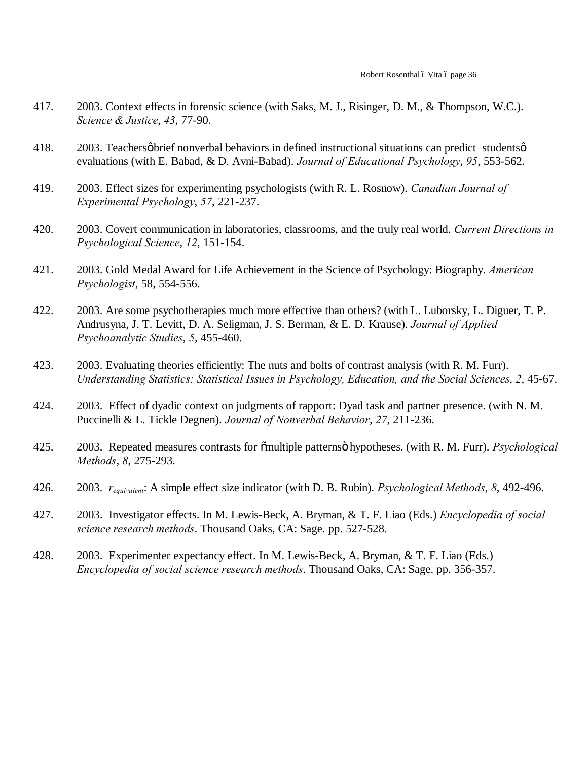- 417. 2003. Context effects in forensic science (with Saks, M. J., Risinger, D. M., & Thompson, W.C.). *Science & Justice*, *43*, 77-90.
- 418.  $2003$ . Teachers  $\phi$  brief nonverbal behaviors in defined instructional situations can predict students  $\phi$ evaluations (with E. Babad, & D. Avni-Babad). *Journal of Educational Psychology*, *95*, 553-562.
- 419. 2003. Effect sizes for experimenting psychologists (with R. L. Rosnow). *Canadian Journal of Experimental Psychology*, *57*, 221-237.
- 420. 2003. Covert communication in laboratories, classrooms, and the truly real world. *Current Directions in Psychological Science*, *12*, 151-154.
- 421. 2003. Gold Medal Award for Life Achievement in the Science of Psychology: Biography. *American Psychologist*, 58, 554-556.
- 422. 2003. Are some psychotherapies much more effective than others? (with L. Luborsky, L. Diguer, T. P. Andrusyna, J. T. Levitt, D. A. Seligman, J. S. Berman, & E. D. Krause). *Journal of Applied Psychoanalytic Studies*, *5*, 455-460.
- 423. 2003. Evaluating theories efficiently: The nuts and bolts of contrast analysis (with R. M. Furr). *Understanding Statistics: Statistical Issues in Psychology, Education, and the Social Sciences*, *2*, 45-67.
- 424. 2003. Effect of dyadic context on judgments of rapport: Dyad task and partner presence. (with N. M. Puccinelli & L. Tickle Degnen). *Journal of Nonverbal Behavior*, *27*, 211-236.
- 425. 2003. Repeated measures contrasts for "multiple patterns" hypotheses. (with R. M. Furr). *Psychological Methods*, *8*, 275-293.
- 426. 2003. *requivalent*: A simple effect size indicator (with D. B. Rubin). *Psychological Methods*, *8*, 492-496.
- 427. 2003. Investigator effects. In M. Lewis-Beck, A. Bryman, & T. F. Liao (Eds.) *Encyclopedia of social science research methods*. Thousand Oaks, CA: Sage. pp. 527-528.
- 428. 2003. Experimenter expectancy effect. In M. Lewis-Beck, A. Bryman, & T. F. Liao (Eds.) *Encyclopedia of social science research methods*. Thousand Oaks, CA: Sage. pp. 356-357.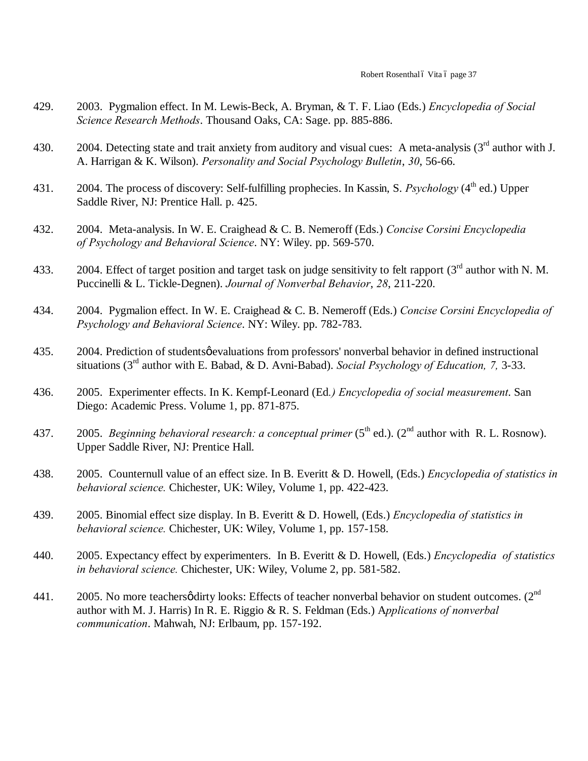- 429. 2003. Pygmalion effect. In M. Lewis-Beck, A. Bryman, & T. F. Liao (Eds.) *Encyclopedia of Social Science Research Methods*. Thousand Oaks, CA: Sage. pp. 885-886.
- 430. 2004. Detecting state and trait anxiety from auditory and visual cues: A meta-analysis  $(3<sup>rd</sup>$  author with J. A. Harrigan & K. Wilson). *Personality and Social Psychology Bulletin*, *30*, 56-66.
- 431. 2004. The process of discovery: Self-fulfilling prophecies. In Kassin, S. *Psychology* (4<sup>th</sup> ed.) Upper Saddle River, NJ: Prentice Hall. p. 425.
- 432. 2004. Meta-analysis. In W. E. Craighead & C. B. Nemeroff (Eds.) *Concise Corsini Encyclopedia of Psychology and Behavioral Science*. NY: Wiley. pp. 569-570.
- 433. 2004. Effect of target position and target task on judge sensitivity to felt rapport  $(3<sup>rd</sup>$  author with N. M. Puccinelli & L. Tickle-Degnen). *Journal of Nonverbal Behavior*, *28*, 211-220.
- 434. 2004. Pygmalion effect. In W. E. Craighead & C. B. Nemeroff (Eds.) *Concise Corsini Encyclopedia of Psychology and Behavioral Science*. NY: Wiley. pp. 782-783.
- 435. 2004. Prediction of students gevaluations from professors' nonverbal behavior in defined instructional situations (3rd author with E. Babad, & D. Avni-Babad). *Social Psychology of Education, 7,* 3-33.
- 436. 2005. Experimenter effects. In K. Kempf-Leonard (Ed*.) Encyclopedia of social measurement*. San Diego: Academic Press. Volume 1, pp. 871-875.
- 437. 2005. *Beginning behavioral research: a conceptual primer* (5<sup>th</sup> ed.). (2<sup>nd</sup> author with R. L. Rosnow). Upper Saddle River, NJ: Prentice Hall.
- 438. 2005. Counternull value of an effect size. In B. Everitt & D. Howell, (Eds.) *Encyclopedia of statistics in behavioral science.* Chichester, UK: Wiley, Volume 1, pp. 422-423.
- 439. 2005. Binomial effect size display. In B. Everitt & D. Howell, (Eds.) *Encyclopedia of statistics in behavioral science.* Chichester, UK: Wiley, Volume 1, pp. 157-158.
- 440. 2005. Expectancy effect by experimenters. In B. Everitt & D. Howell, (Eds.) *Encyclopedia of statistics in behavioral science.* Chichester, UK: Wiley, Volume 2, pp. 581-582.
- 441. 2005. No more teachers  $\phi$  dirty looks: Effects of teacher nonverbal behavior on student outcomes. (2<sup>nd</sup> author with M. J. Harris) In R. E. Riggio & R. S. Feldman (Eds.) A*pplications of nonverbal communication*. Mahwah, NJ: Erlbaum, pp. 157-192.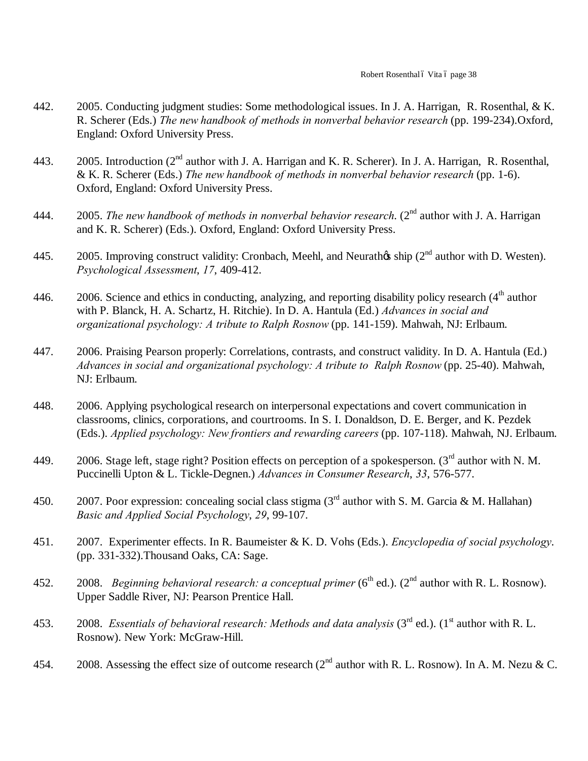- 442. 2005. Conducting judgment studies: Some methodological issues. In J. A. Harrigan, R. Rosenthal, & K. R. Scherer (Eds.) *The new handbook of methods in nonverbal behavior research* (pp. 199-234).Oxford, England: Oxford University Press.
- 443. 2005. Introduction (2<sup>nd</sup> author with J. A. Harrigan and K. R. Scherer). In J. A. Harrigan, R. Rosenthal, & K. R. Scherer (Eds.) *The new handbook of methods in nonverbal behavior research* (pp. 1-6). Oxford, England: Oxford University Press.
- 444. 2005. *The new handbook of methods in nonverbal behavior research*. (2nd author with J. A. Harrigan and K. R. Scherer) (Eds.). Oxford, England: Oxford University Press.
- 445. 2005. Improving construct validity: Cronbach, Meehl, and Neurath $\alpha$ s ship (2<sup>nd</sup> author with D. Westen). *Psychological Assessment*, *17*, 409-412.
- 446. 2006. Science and ethics in conducting, analyzing, and reporting disability policy research (4<sup>th</sup> author with P. Blanck, H. A. Schartz, H. Ritchie). In D. A. Hantula (Ed.) *Advances in social and organizational psychology: A tribute to Ralph Rosnow* (pp. 141-159). Mahwah, NJ: Erlbaum.
- 447. 2006. Praising Pearson properly: Correlations, contrasts, and construct validity. In D. A. Hantula (Ed.) *Advances in social and organizational psychology: A tribute to Ralph Rosnow* (pp. 25-40). Mahwah, NJ: Erlbaum.
- 448. 2006. Applying psychological research on interpersonal expectations and covert communication in classrooms, clinics, corporations, and courtrooms. In S. I. Donaldson, D. E. Berger, and K. Pezdek (Eds.). *Applied psychology: New frontiers and rewarding careers* (pp. 107-118). Mahwah, NJ. Erlbaum.
- 449. 2006. Stage left, stage right? Position effects on perception of a spokesperson. ( $3<sup>rd</sup>$  author with N. M. Puccinelli Upton & L. Tickle-Degnen.) *Advances in Consumer Research*, *33*, 576-577.
- 450. 2007. Poor expression: concealing social class stigma (3<sup>rd</sup> author with S. M. Garcia & M. Hallahan) *Basic and Applied Social Psychology*, *29*, 99-107.
- 451. 2007. Experimenter effects. In R. Baumeister & K. D. Vohs (Eds.). *Encyclopedia of social psychology*. (pp. 331-332).Thousand Oaks, CA: Sage.
- 452. 2008. *Beginning behavioral research: a conceptual primer* ( $6<sup>th</sup>$  ed.). ( $2<sup>nd</sup>$  author with R. L. Rosnow). Upper Saddle River, NJ: Pearson Prentice Hall.
- 453. 2008. *Essentials of behavioral research: Methods and data analysis* (3<sup>rd</sup> ed.). (1<sup>st</sup> author with R. L. Rosnow). New York: McGraw-Hill.
- 454. 2008. Assessing the effect size of outcome research ( $2<sup>nd</sup>$  author with R. L. Rosnow). In A. M. Nezu & C.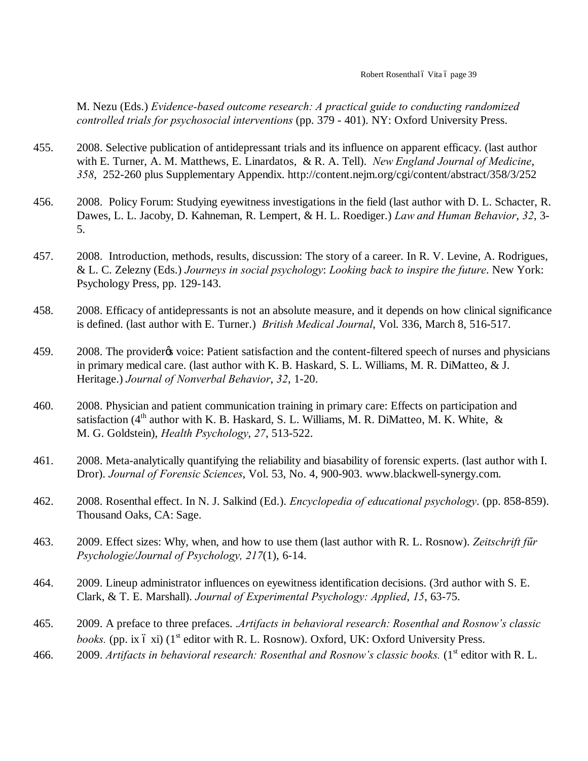M. Nezu (Eds.) *Evidence-based outcome research: A practical guide to conducting randomized controlled trials for psychosocial interventions* (pp. 379 - 401). NY: Oxford University Press.

- 455. 2008. Selective publication of antidepressant trials and its influence on apparent efficacy. (last author with E. Turner, A. M. Matthews, E. Linardatos, & R. A. Tell). *New England Journal of Medicine*, *358*, 252-260 plus Supplementary Appendix. http://content.nejm.org/cgi/content/abstract/358/3/252
- 456. 2008. Policy Forum: Studying eyewitness investigations in the field (last author with D. L. Schacter, R. Dawes, L. L. Jacoby, D. Kahneman, R. Lempert, & H. L. Roediger.) *Law and Human Behavior*, *32*, 3- 5.
- 457. 2008. Introduction, methods, results, discussion: The story of a career. In R. V. Levine, A. Rodrigues, & L. C. Zelezny (Eds.) *Journeys in social psychology*: *Looking back to inspire the future*. New York: Psychology Press, pp. 129-143.
- 458. 2008. Efficacy of antidepressants is not an absolute measure, and it depends on how clinical significance is defined. (last author with E. Turner.) *British Medical Journal*, Vol. 336, March 8, 516-517.
- 459. 2008. The provider to voice: Patient satisfaction and the content-filtered speech of nurses and physicians in primary medical care. (last author with K. B. Haskard, S. L. Williams, M. R. DiMatteo, & J. Heritage.) *Journal of Nonverbal Behavior*, *32*, 1-20.
- 460. 2008. Physician and patient communication training in primary care: Effects on participation and satisfaction ( $4<sup>th</sup>$  author with K. B. Haskard, S. L. Williams, M. R. DiMatteo, M. K. White, & M. G. Goldstein), *Health Psychology*, *27*, 513-522.
- 461. 2008. Meta-analytically quantifying the reliability and biasability of forensic experts. (last author with I. Dror). *Journal of Forensic Sciences*, Vol. 53, No. 4, 900-903. www.blackwell-synergy.com.
- 462. 2008. Rosenthal effect. In N. J. Salkind (Ed.). *Encyclopedia of educational psychology*. (pp. 858-859). Thousand Oaks, CA: Sage.
- 463. 2009. Effect sizes: Why, when, and how to use them (last author with R. L. Rosnow). *Zeitschrift fűr Psychologie/Journal of Psychology, 217*(1), 6-14.
- 464. 2009. Lineup administrator influences on eyewitness identification decisions. (3rd author with S. E. Clark, & T. E. Marshall). *Journal of Experimental Psychology: Applied*, *15*, 63-75.
- 465. 2009. A preface to three prefaces. .*Artifacts in behavioral research: Rosenthal and Rosnow's classic books.* (pp. ix 6 xi)  $(1^{\text{st}} \text{ editor with R. L. Rosnow})$ . Oxford, UK: Oxford University Press.
- 466. 2009. *Artifacts in behavioral research: Rosenthal and Rosnow's classic books.* (1<sup>st</sup> editor with R. L.